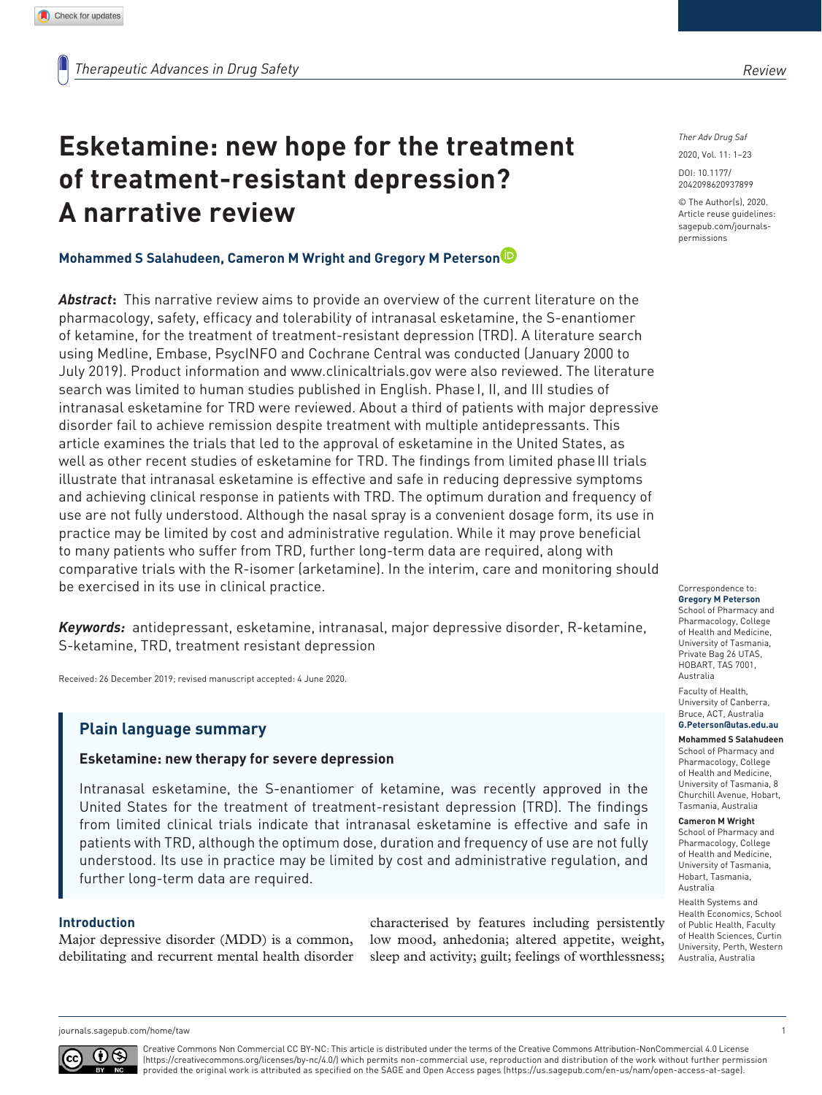# **Esketamine: new hope for the treatment of treatment-resistant depression? A narrative review**

## **Mohammed S Salahudeen, Cameron M Wright and Gregory M Peterson**

*Abstract***:** This narrative review aims to provide an overview of the current literature on the pharmacology, safety, efficacy and tolerability of intranasal esketamine, the S-enantiomer of ketamine, for the treatment of treatment-resistant depression (TRD). A literature search using Medline, Embase, PsycINFO and Cochrane Central was conducted (January 2000 to July 2019). Product information and <www.clinicaltrials.gov>were also reviewed. The literature search was limited to human studies published in English. Phase I, II, and III studies of intranasal esketamine for TRD were reviewed. About a third of patients with major depressive disorder fail to achieve remission despite treatment with multiple antidepressants. This article examines the trials that led to the approval of esketamine in the United States, as well as other recent studies of esketamine for TRD. The findings from limited phase III trials illustrate that intranasal esketamine is effective and safe in reducing depressive symptoms and achieving clinical response in patients with TRD. The optimum duration and frequency of use are not fully understood. Although the nasal spray is a convenient dosage form, its use in practice may be limited by cost and administrative regulation. While it may prove beneficial to many patients who suffer from TRD, further long-term data are required, along with comparative trials with the R-isomer (arketamine). In the interim, care and monitoring should be exercised in its use in clinical practice.

*Keywords:* antidepressant, esketamine, intranasal, major depressive disorder, R-ketamine, S-ketamine, TRD, treatment resistant depression

Received: 26 December 2019; revised manuscript accepted: 4 June 2020.

# **Plain language summary**

## **Esketamine: new therapy for severe depression**

Intranasal esketamine, the S-enantiomer of ketamine, was recently approved in the United States for the treatment of treatment-resistant depression (TRD). The findings from limited clinical trials indicate that intranasal esketamine is effective and safe in patients with TRD, although the optimum dose, duration and frequency of use are not fully understood. Its use in practice may be limited by cost and administrative regulation, and further long-term data are required.

## **Introduction**

Major depressive disorder (MDD) is a common, debilitating and recurrent mental health disorder characterised by features including persistently low mood, anhedonia; altered appetite, weight, sleep and activity; guilt; feelings of worthlessness; *Ther Adv Drug Saf*

DOI: 10.1177/ 2020, Vol. 11: 1–23

© The Author(s), 2020. Article reuse guidelines: [sagepub.com/journals](https://uk.sagepub.com/en-gb/journals-permissions)[permissions](https://uk.sagepub.com/en-gb/journals-permissions)

2042098620937899

Correspondence to: **Gregory M Peterson** School of Pharmacy and Pharmacology, College of Health and Medicine, University of Tasmania, Private Bag 26 UTAS, HOBART, TAS 7001, Australia

Faculty of Health, University of Canberra, Bruce, ACT, Australia **[G.Peterson@utas.edu.au](mailto:G.Peterson@utas.edu.au)**

## **Mohammed S Salahudeen**

School of Pharmacy and Pharmacology, College of Health and Medicine, University of Tasmania, 8 Churchill Avenue, Hobart, Tasmania, Australia

#### **Cameron M Wright**

School of Pharmacy and Pharmacology, College of Health and Medicine, University of Tasmania, Hobart, Tasmania, Australia

Health Systems and Health Economics, School of Public Health, Faculty of Health Sciences, Curtin University, Perth, Western Australia, Australia

```
journals.sagepub.com/home/taw 1
```


Creative Commons Non Commercial CC BY-NC: This article is distributed under the terms of the Creative Commons Attribution-NonCommercial 4.0 License (https://creativecommons.org/licenses/by-nc/4.0/) which permits non-commercial use, reproduction and distribution of the work without further permission provided the original work is attributed as specified on the SAGE and Open Access pages (https://us.sagepub.com/en-us/nam/open-access-at-sage).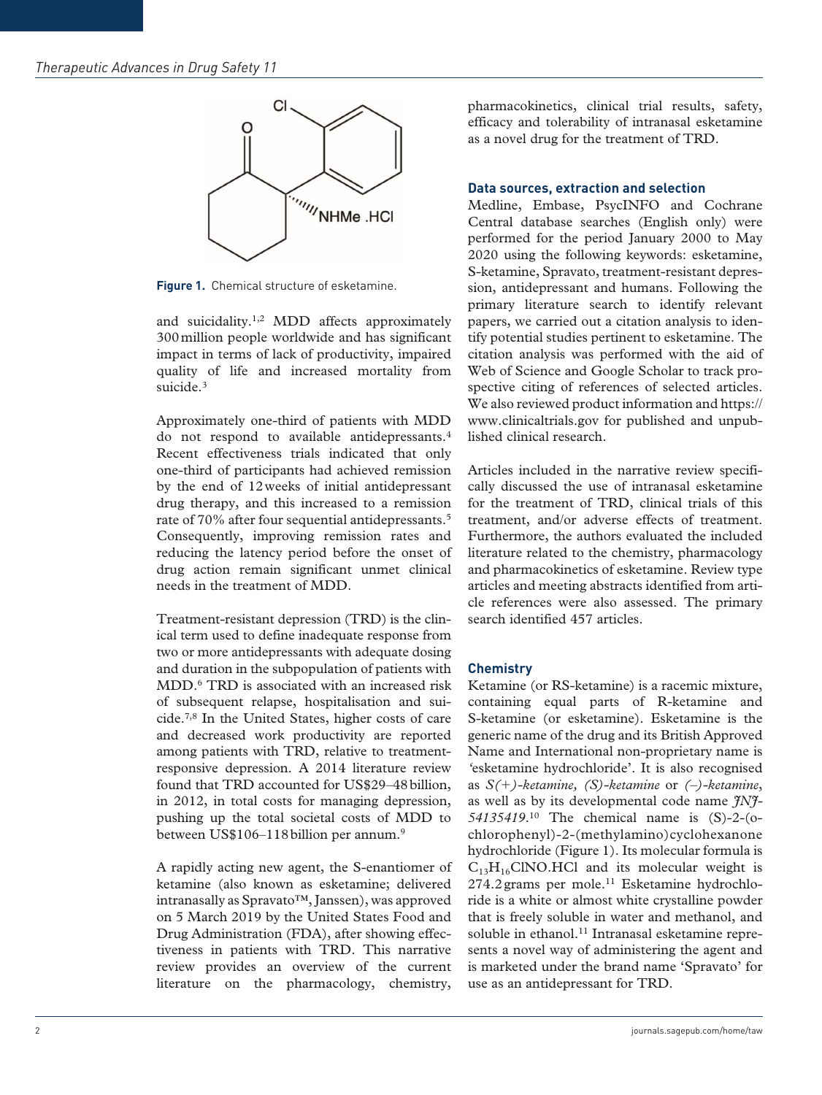

**Figure 1.** Chemical structure of esketamine.

and suicidality.1,2 MDD affects approximately 300million people worldwide and has significant impact in terms of lack of productivity, impaired quality of life and increased mortality from suicide.<sup>3</sup>

Approximately one-third of patients with MDD do not respond to available antidepressants.4 Recent effectiveness trials indicated that only one-third of participants had achieved remission by the end of 12weeks of initial antidepressant drug therapy, and this increased to a remission rate of 70% after four sequential antidepressants.5 Consequently, improving remission rates and reducing the latency period before the onset of drug action remain significant unmet clinical needs in the treatment of MDD.

Treatment-resistant depression (TRD) is the clinical term used to define inadequate response from two or more antidepressants with adequate dosing and duration in the subpopulation of patients with MDD.6 TRD is associated with an increased risk of subsequent relapse, hospitalisation and suicide.7,8 In the United States, higher costs of care and decreased work productivity are reported among patients with TRD, relative to treatmentresponsive depression. A 2014 literature review found that TRD accounted for US\$29–48billion, in 2012, in total costs for managing depression, pushing up the total societal costs of MDD to between US\$106–118 billion per annum.<sup>9</sup>

A rapidly acting new agent, the S-enantiomer of ketamine (also known as esketamine; delivered intranasally as Spravato™, Janssen), was approved on 5 March 2019 by the United States Food and Drug Administration (FDA), after showing effectiveness in patients with TRD. This narrative review provides an overview of the current literature on the pharmacology, chemistry,

pharmacokinetics, clinical trial results, safety, efficacy and tolerability of intranasal esketamine as a novel drug for the treatment of TRD.

## **Data sources, extraction and selection**

Medline, Embase, PsycINFO and Cochrane Central database searches (English only) were performed for the period January 2000 to May 2020 using the following keywords: esketamine, S-ketamine, Spravato, treatment-resistant depression, antidepressant and humans. Following the primary literature search to identify relevant papers, we carried out a citation analysis to identify potential studies pertinent to esketamine. The citation analysis was performed with the aid of Web of Science and Google Scholar to track prospective citing of references of selected articles. We also reviewed product information and https:// <www.clinicaltrials.gov>for published and unpublished clinical research.

Articles included in the narrative review specifically discussed the use of intranasal esketamine for the treatment of TRD, clinical trials of this treatment, and/or adverse effects of treatment. Furthermore, the authors evaluated the included literature related to the chemistry, pharmacology and pharmacokinetics of esketamine. Review type articles and meeting abstracts identified from article references were also assessed. The primary search identified 457 articles.

# **Chemistry**

Ketamine (or RS-ketamine) is a racemic mixture, containing equal parts of R-ketamine and S-ketamine (or esketamine). Esketamine is the generic name of the drug and its British Approved Name and International non-proprietary name is *'*esketamine hydrochloride'. It is also recognised as *S(*+*)-ketamine, (S)-ketamine* or *(–)-ketamine*, as well as by its developmental code name *JNJ-54135419*.10 The chemical name is (S)-2-(ochlorophenyl)-2-(methylamino)cyclohexanone hydrochloride (Figure 1). Its molecular formula is  $C_{13}H_{16}CINO.HCl$  and its molecular weight is 274.2 grams per mole.<sup>11</sup> Esketamine hydrochloride is a white or almost white crystalline powder that is freely soluble in water and methanol, and soluble in ethanol.<sup>11</sup> Intranasal esketamine represents a novel way of administering the agent and is marketed under the brand name 'Spravato' for use as an antidepressant for TRD.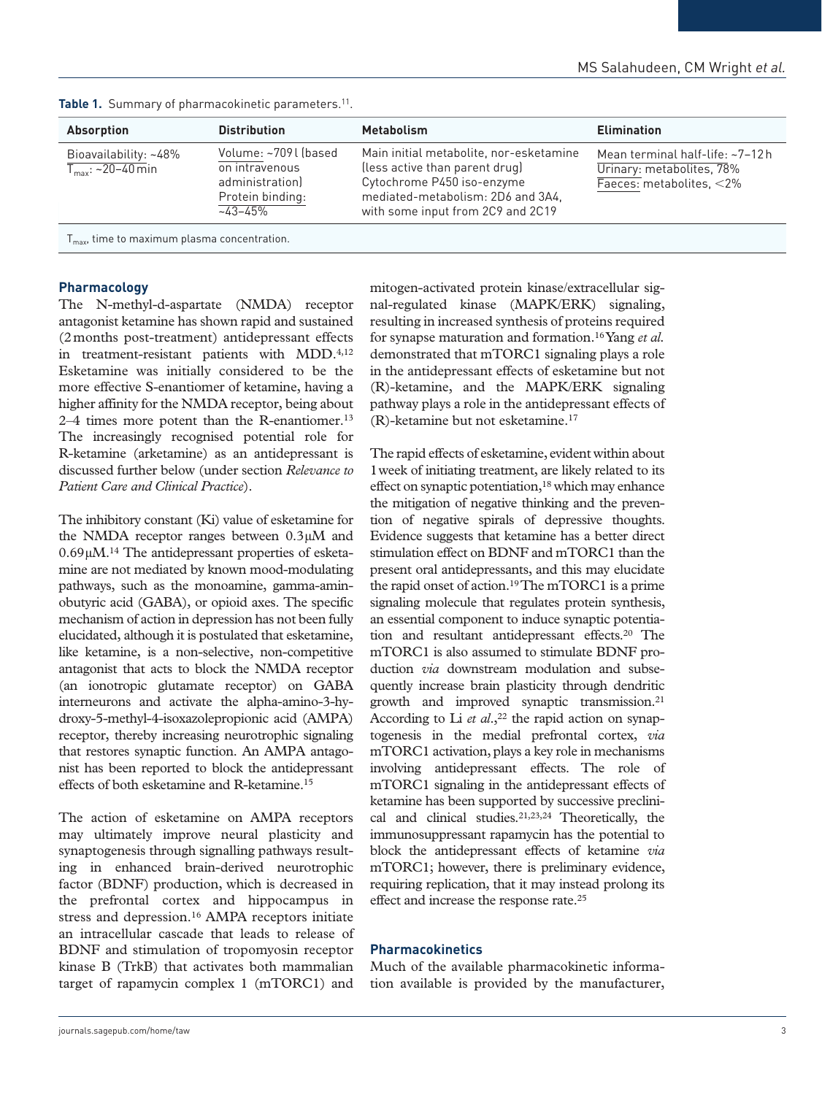| <b>Absorption</b>                                        | <b>Distribution</b>                                                                           | <b>Metabolism</b>                                                                                                                                                                 | <b>Elimination</b>                                                                          |
|----------------------------------------------------------|-----------------------------------------------------------------------------------------------|-----------------------------------------------------------------------------------------------------------------------------------------------------------------------------------|---------------------------------------------------------------------------------------------|
| Bioavailability: ~48%<br>$T_{\text{max}}$ : ~20–40 min   | Volume: ~709 l (based<br>on intravenous<br>administration)<br>Protein binding:<br>$-43 - 45%$ | Main initial metabolite, nor-esketamine<br>(less active than parent drug)<br>Cytochrome P450 iso-enzyme<br>mediated-metabolism: 2D6 and 3A4,<br>with some input from 2C9 and 2C19 | Mean terminal half-life: ~7-12h<br>Urinary: metabolites, 78%<br>Faeces: metabolites, $<$ 2% |
| $T_{\text{max}}$ , time to maximum plasma concentration. |                                                                                               |                                                                                                                                                                                   |                                                                                             |

#### Table 1. Summary of pharmacokinetic parameters.<sup>11</sup>.

#### **Pharmacology**

The N-methyl-d-aspartate (NMDA) receptor antagonist ketamine has shown rapid and sustained (2months post-treatment) antidepressant effects in treatment-resistant patients with MDD.<sup>4,12</sup> Esketamine was initially considered to be the more effective S-enantiomer of ketamine, having a higher affinity for the NMDA receptor, being about 2–4 times more potent than the R-enantiomer.13 The increasingly recognised potential role for R-ketamine (arketamine) as an antidepressant is discussed further below (under section *Relevance to Patient Care and Clinical Practice*).

The inhibitory constant (Ki) value of esketamine for the NMDA receptor ranges between 0.3µM and 0.69µM.14 The antidepressant properties of esketamine are not mediated by known mood-modulating pathways, such as the monoamine, gamma-aminobutyric acid (GABA), or opioid axes. The specific mechanism of action in depression has not been fully elucidated, although it is postulated that esketamine, like ketamine, is a non-selective, non-competitive antagonist that acts to block the NMDA receptor (an ionotropic glutamate receptor) on GABA interneurons and activate the alpha-amino-3-hydroxy-5-methyl-4-isoxazolepropionic acid (AMPA) receptor, thereby increasing neurotrophic signaling that restores synaptic function. An AMPA antagonist has been reported to block the antidepressant effects of both esketamine and R-ketamine.15

The action of esketamine on AMPA receptors may ultimately improve neural plasticity and synaptogenesis through signalling pathways resulting in enhanced brain-derived neurotrophic factor (BDNF) production, which is decreased in the prefrontal cortex and hippocampus in stress and depression.<sup>16</sup> AMPA receptors initiate an intracellular cascade that leads to release of BDNF and stimulation of tropomyosin receptor kinase B (TrkB) that activates both mammalian target of rapamycin complex 1 (mTORC1) and mitogen-activated protein kinase/extracellular signal-regulated kinase (MAPK/ERK) signaling, resulting in increased synthesis of proteins required for synapse maturation and formation.16 Yang *et al.* demonstrated that mTORC1 signaling plays a role in the antidepressant effects of esketamine but not (R)-ketamine, and the MAPK/ERK signaling pathway plays a role in the antidepressant effects of (R)-ketamine but not esketamine.17

The rapid effects of esketamine, evident within about 1week of initiating treatment, are likely related to its effect on synaptic potentiation,<sup>18</sup> which may enhance the mitigation of negative thinking and the prevention of negative spirals of depressive thoughts. Evidence suggests that ketamine has a better direct stimulation effect on BDNF and mTORC1 than the present oral antidepressants, and this may elucidate the rapid onset of action.19 The mTORC1 is a prime signaling molecule that regulates protein synthesis, an essential component to induce synaptic potentiation and resultant antidepressant effects.20 The mTORC1 is also assumed to stimulate BDNF production *via* downstream modulation and subsequently increase brain plasticity through dendritic growth and improved synaptic transmission.21 According to Li  $et$   $al$ ,  $22$  the rapid action on synaptogenesis in the medial prefrontal cortex, *via* mTORC1 activation, plays a key role in mechanisms involving antidepressant effects. The role of mTORC1 signaling in the antidepressant effects of ketamine has been supported by successive preclinical and clinical studies.21,23,24 Theoretically, the immunosuppressant rapamycin has the potential to block the antidepressant effects of ketamine *via* mTORC1; however, there is preliminary evidence, requiring replication, that it may instead prolong its effect and increase the response rate.25

#### **Pharmacokinetics**

Much of the available pharmacokinetic information available is provided by the manufacturer,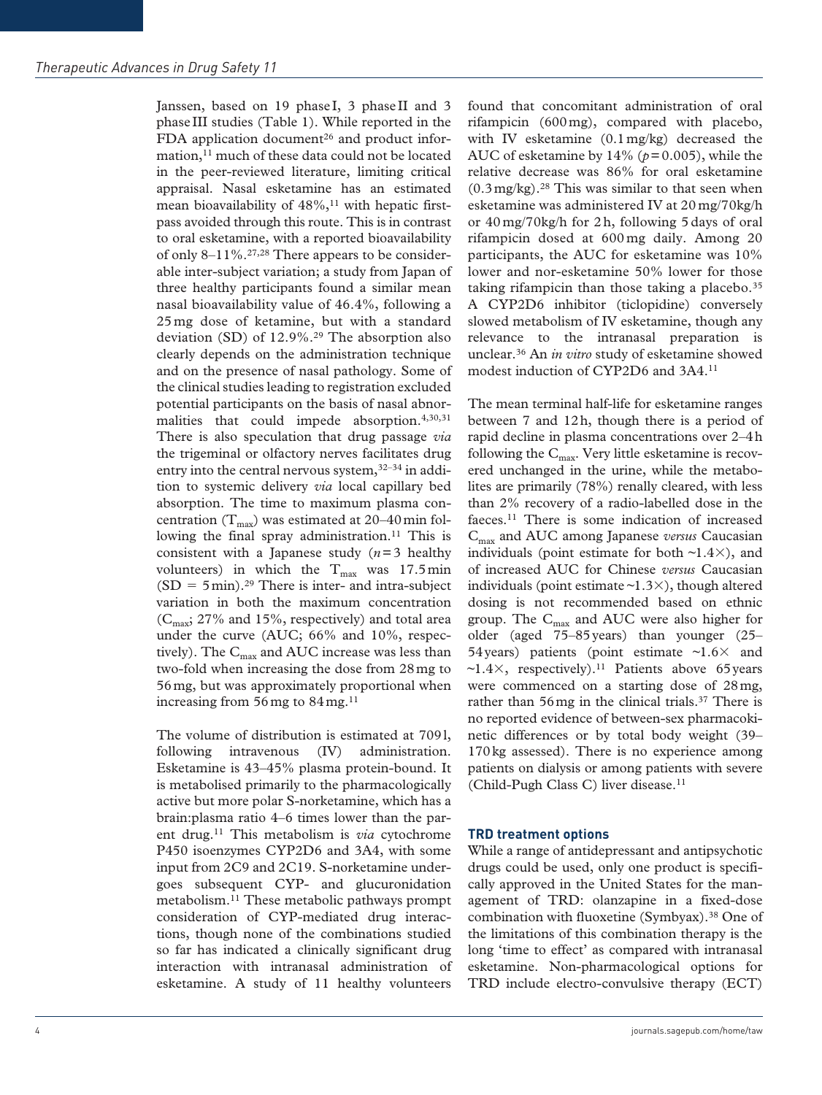Janssen, based on 19 phase I, 3 phase II and 3 phase III studies (Table 1). While reported in the FDA application document<sup>26</sup> and product information,<sup>11</sup> much of these data could not be located in the peer-reviewed literature, limiting critical appraisal. Nasal esketamine has an estimated mean bioavailability of  $48\%,$ <sup>11</sup> with hepatic firstpass avoided through this route. This is in contrast to oral esketamine, with a reported bioavailability of only  $8-11\%$ .<sup>27,28</sup> There appears to be considerable inter-subject variation; a study from Japan of three healthy participants found a similar mean nasal bioavailability value of 46.4%, following a 25 mg dose of ketamine, but with a standard deviation (SD) of  $12.9\%$ <sup>29</sup> The absorption also clearly depends on the administration technique and on the presence of nasal pathology. Some of the clinical studies leading to registration excluded potential participants on the basis of nasal abnormalities that could impede absorption.<sup>4,30,31</sup> There is also speculation that drug passage *via* the trigeminal or olfactory nerves facilitates drug entry into the central nervous system,<sup>32–34</sup> in addition to systemic delivery *via* local capillary bed absorption. The time to maximum plasma concentration  $(T_{\text{max}})$  was estimated at 20–40 min following the final spray administration.<sup>11</sup> This is consistent with a Japanese study (*n*=3 healthy volunteers) in which the  $T_{\text{max}}$  was 17.5min  $(SD = 5min).<sup>29</sup>$  There is inter- and intra-subject variation in both the maximum concentration  $(C<sub>max</sub>; 27%$  and 15%, respectively) and total area under the curve (AUC; 66% and 10%, respectively). The  $C_{\text{max}}$  and AUC increase was less than two-fold when increasing the dose from 28mg to 56mg, but was approximately proportional when increasing from  $56 \text{ mg}$  to  $84 \text{ mg}$ .<sup>11</sup>

The volume of distribution is estimated at 709l, following intravenous (IV) administration. Esketamine is 43–45% plasma protein-bound. It is metabolised primarily to the pharmacologically active but more polar S-norketamine, which has a brain:plasma ratio 4–6 times lower than the parent drug.11 This metabolism is *via* cytochrome P450 isoenzymes CYP2D6 and 3A4, with some input from 2C9 and 2C19. S-norketamine undergoes subsequent CYP- and glucuronidation metabolism.11 These metabolic pathways prompt consideration of CYP-mediated drug interactions, though none of the combinations studied so far has indicated a clinically significant drug interaction with intranasal administration of esketamine. A study of 11 healthy volunteers found that concomitant administration of oral rifampicin (600mg), compared with placebo, with IV esketamine (0.1mg/kg) decreased the AUC of esketamine by 14% (*p*=0.005), while the relative decrease was 86% for oral esketamine  $(0.3 \text{ mg/kg})$ .<sup>28</sup> This was similar to that seen when esketamine was administered IV at 20mg/70kg/h or 40 mg/70kg/h for 2 h, following 5 days of oral rifampicin dosed at 600mg daily. Among 20 participants, the AUC for esketamine was 10% lower and nor-esketamine 50% lower for those taking rifampicin than those taking a placebo. $35$ A CYP2D6 inhibitor (ticlopidine) conversely slowed metabolism of IV esketamine, though any relevance to the intranasal preparation is unclear.36 An *in vitro* study of esketamine showed modest induction of CYP2D6 and 3A4.11

The mean terminal half-life for esketamine ranges between 7 and 12h, though there is a period of rapid decline in plasma concentrations over 2–4h following the  $C_{\text{max}}$ . Very little esketamine is recovered unchanged in the urine, while the metabolites are primarily (78%) renally cleared, with less than 2% recovery of a radio-labelled dose in the faeces.11 There is some indication of increased Cmax and AUC among Japanese *versus* Caucasian individuals (point estimate for both  $\sim$ 1.4 $\times$ ), and of increased AUC for Chinese *versus* Caucasian individuals (point estimate  $\sim$ 1.3 $\times$ ), though altered dosing is not recommended based on ethnic group. The  $C_{\text{max}}$  and AUC were also higher for older (aged 75–85years) than younger (25– 54 years) patients (point estimate  $\sim$ 1.6 $\times$  and  $\sim$ 1.4 $\times$ , respectively).<sup>11</sup> Patients above 65 years were commenced on a starting dose of 28mg, rather than 56mg in the clinical trials.<sup>37</sup> There is no reported evidence of between-sex pharmacokinetic differences or by total body weight (39– 170kg assessed). There is no experience among patients on dialysis or among patients with severe (Child-Pugh Class C) liver disease.<sup>11</sup>

## **TRD treatment options**

While a range of antidepressant and antipsychotic drugs could be used, only one product is specifically approved in the United States for the management of TRD: olanzapine in a fixed-dose combination with fluoxetine (Symbyax).38 One of the limitations of this combination therapy is the long 'time to effect' as compared with intranasal esketamine. Non-pharmacological options for TRD include electro-convulsive therapy (ECT)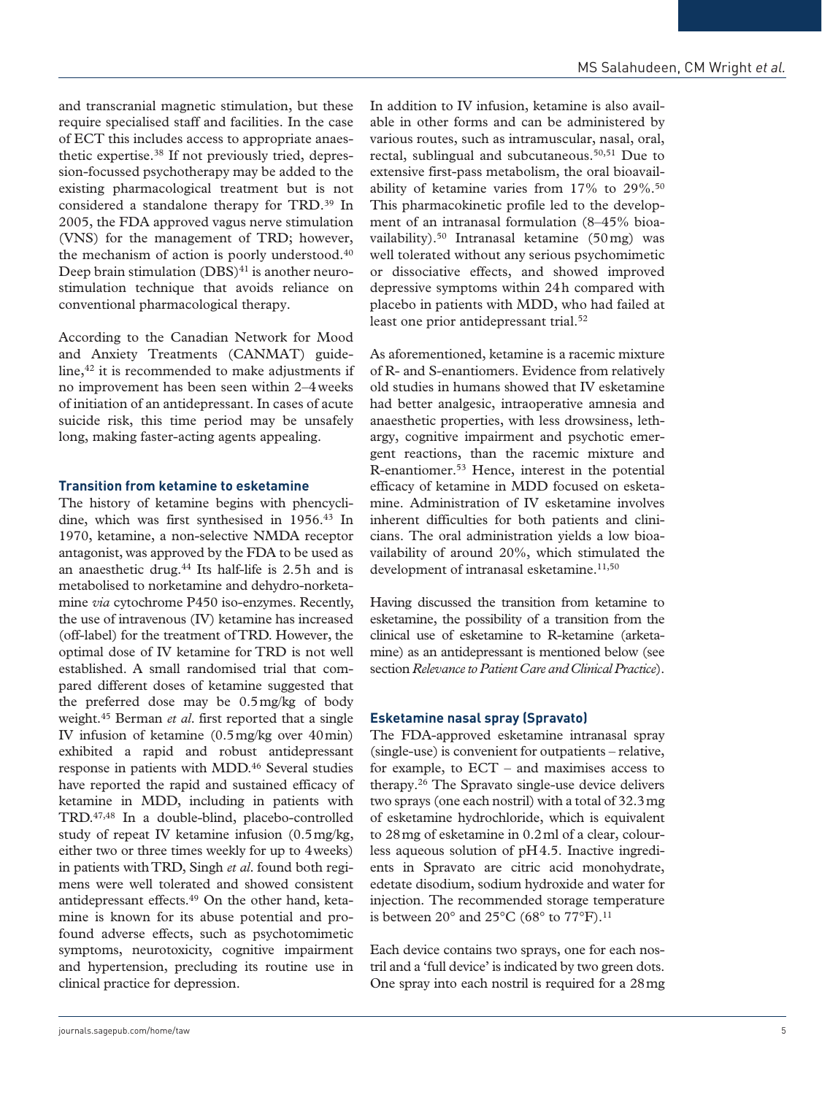and transcranial magnetic stimulation, but these require specialised staff and facilities. In the case of ECT this includes access to appropriate anaesthetic expertise.38 If not previously tried, depression-focussed psychotherapy may be added to the existing pharmacological treatment but is not considered a standalone therapy for TRD.39 In 2005, the FDA approved vagus nerve stimulation (VNS) for the management of TRD; however, the mechanism of action is poorly understood.<sup>40</sup> Deep brain stimulation  $(DBS)^{41}$  is another neurostimulation technique that avoids reliance on conventional pharmacological therapy.

According to the Canadian Network for Mood and Anxiety Treatments (CANMAT) guideline,42 it is recommended to make adjustments if no improvement has been seen within 2–4weeks of initiation of an antidepressant. In cases of acute suicide risk, this time period may be unsafely long, making faster-acting agents appealing.

## **Transition from ketamine to esketamine**

The history of ketamine begins with phencyclidine, which was first synthesised in 1956.43 In 1970, ketamine, a non-selective NMDA receptor antagonist, was approved by the FDA to be used as an anaesthetic drug.44 Its half-life is 2.5h and is metabolised to norketamine and dehydro-norketamine *via* cytochrome P450 iso-enzymes. Recently, the use of intravenous (IV) ketamine has increased (off-label) for the treatment of TRD. However, the optimal dose of IV ketamine for TRD is not well established. A small randomised trial that compared different doses of ketamine suggested that the preferred dose may be 0.5mg/kg of body weight.45 Berman *et al*. first reported that a single IV infusion of ketamine (0.5mg/kg over 40min) exhibited a rapid and robust antidepressant response in patients with MDD.46 Several studies have reported the rapid and sustained efficacy of ketamine in MDD, including in patients with TRD.47,48 In a double-blind, placebo-controlled study of repeat IV ketamine infusion (0.5mg/kg, either two or three times weekly for up to 4weeks) in patients with TRD, Singh *et al*. found both regimens were well tolerated and showed consistent antidepressant effects.49 On the other hand, ketamine is known for its abuse potential and profound adverse effects, such as psychotomimetic symptoms, neurotoxicity, cognitive impairment and hypertension, precluding its routine use in clinical practice for depression.

In addition to IV infusion, ketamine is also available in other forms and can be administered by various routes, such as intramuscular, nasal, oral, rectal, sublingual and subcutaneous.50,51 Due to extensive first-pass metabolism, the oral bioavailability of ketamine varies from 17% to 29%.50 This pharmacokinetic profile led to the development of an intranasal formulation (8–45% bioavailability).50 Intranasal ketamine (50mg) was well tolerated without any serious psychomimetic or dissociative effects, and showed improved depressive symptoms within 24h compared with placebo in patients with MDD, who had failed at least one prior antidepressant trial.<sup>52</sup>

As aforementioned, ketamine is a racemic mixture of R- and S-enantiomers. Evidence from relatively old studies in humans showed that IV esketamine had better analgesic, intraoperative amnesia and anaesthetic properties, with less drowsiness, lethargy, cognitive impairment and psychotic emergent reactions, than the racemic mixture and R-enantiomer.53 Hence, interest in the potential efficacy of ketamine in MDD focused on esketamine. Administration of IV esketamine involves inherent difficulties for both patients and clinicians. The oral administration yields a low bioavailability of around 20%, which stimulated the development of intranasal esketamine.<sup>11,50</sup>

Having discussed the transition from ketamine to esketamine, the possibility of a transition from the clinical use of esketamine to R-ketamine (arketamine) as an antidepressant is mentioned below (see section *Relevance to Patient Care and Clinical Practice*).

## **Esketamine nasal spray (Spravato)**

The FDA-approved esketamine intranasal spray (single-use) is convenient for outpatients – relative, for example, to ECT – and maximises access to therapy.26 The Spravato single-use device delivers two sprays (one each nostril) with a total of 32.3mg of esketamine hydrochloride, which is equivalent to 28mg of esketamine in 0.2ml of a clear, colourless aqueous solution of pH4.5. Inactive ingredients in Spravato are citric acid monohydrate, edetate disodium, sodium hydroxide and water for injection. The recommended storage temperature is between  $20^{\circ}$  and  $25^{\circ}$ C (68° to  $77^{\circ}$ F).<sup>11</sup>

Each device contains two sprays, one for each nostril and a 'full device' is indicated by two green dots. One spray into each nostril is required for a 28mg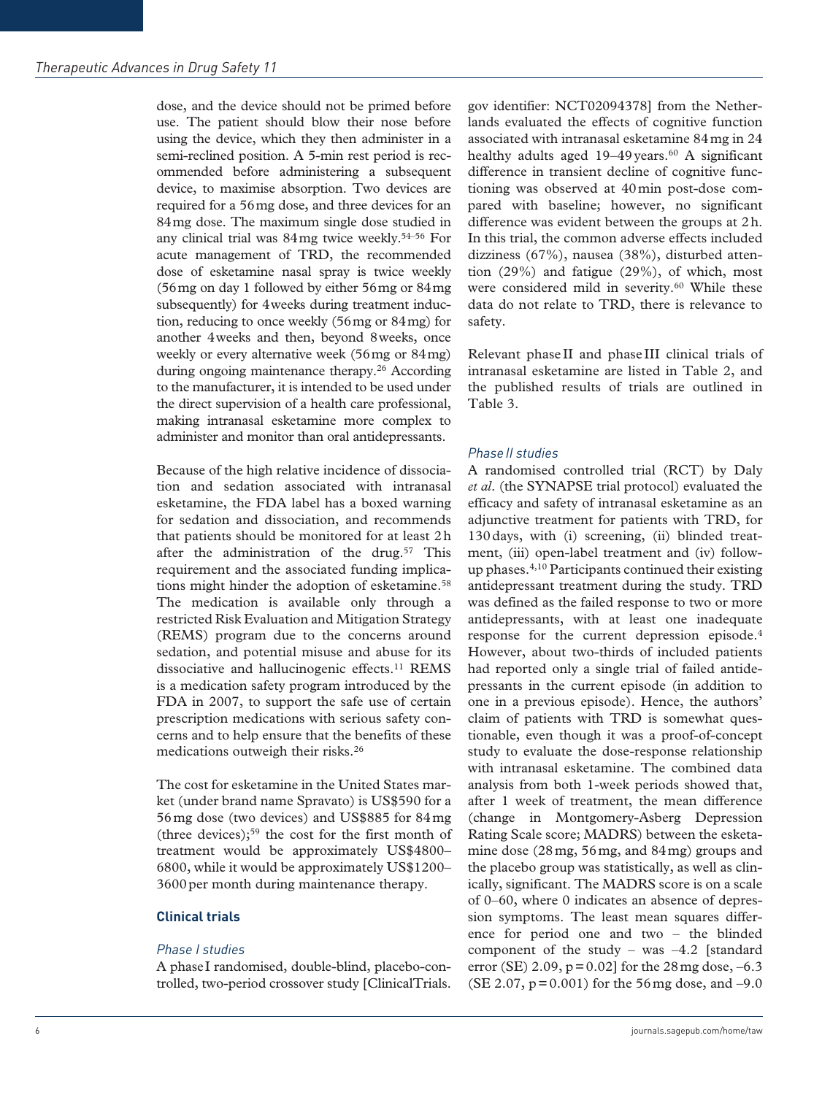dose, and the device should not be primed before use. The patient should blow their nose before using the device, which they then administer in a semi-reclined position. A 5-min rest period is recommended before administering a subsequent device, to maximise absorption. Two devices are required for a 56mg dose, and three devices for an 84mg dose. The maximum single dose studied in any clinical trial was  $84 \text{ mg}$  twice weekly.<sup>54–56</sup> For acute management of TRD, the recommended dose of esketamine nasal spray is twice weekly (56mg on day 1 followed by either 56mg or 84mg subsequently) for 4weeks during treatment induction, reducing to once weekly (56mg or 84mg) for another 4weeks and then, beyond 8weeks, once weekly or every alternative week (56mg or 84mg) during ongoing maintenance therapy.26 According to the manufacturer, it is intended to be used under the direct supervision of a health care professional, making intranasal esketamine more complex to administer and monitor than oral antidepressants.

Because of the high relative incidence of dissociation and sedation associated with intranasal esketamine, the FDA label has a boxed warning for sedation and dissociation, and recommends that patients should be monitored for at least 2h after the administration of the drug.<sup>57</sup> This requirement and the associated funding implications might hinder the adoption of esketamine.<sup>58</sup> The medication is available only through a restricted Risk Evaluation and Mitigation Strategy (REMS) program due to the concerns around sedation, and potential misuse and abuse for its dissociative and hallucinogenic effects.<sup>11</sup> REMS is a medication safety program introduced by the FDA in 2007, to support the safe use of certain prescription medications with serious safety concerns and to help ensure that the benefits of these medications outweigh their risks.26

The cost for esketamine in the United States market (under brand name Spravato) is US\$590 for a 56mg dose (two devices) and US\$885 for 84mg (three devices);59 the cost for the first month of treatment would be approximately US\$4800– 6800, while it would be approximately US\$1200– 3600 per month during maintenance therapy.

## **Clinical trials**

## *Phase I studies*

A phaseI randomised, double-blind, placebo-controlled, two-period crossover study [ClinicalTrials. gov identifier: NCT02094378] from the Netherlands evaluated the effects of cognitive function associated with intranasal esketamine 84mg in 24 healthy adults aged 19-49 years.<sup>60</sup> A significant difference in transient decline of cognitive functioning was observed at 40min post-dose compared with baseline; however, no significant difference was evident between the groups at 2h. In this trial, the common adverse effects included dizziness (67%), nausea (38%), disturbed attention (29%) and fatigue (29%), of which, most were considered mild in severity.<sup>60</sup> While these data do not relate to TRD, there is relevance to safety.

Relevant phase II and phase III clinical trials of intranasal esketamine are listed in Table 2, and the published results of trials are outlined in Table 3.

## *PhaseII studies*

A randomised controlled trial (RCT) by Daly *et al*. (the SYNAPSE trial protocol) evaluated the efficacy and safety of intranasal esketamine as an adjunctive treatment for patients with TRD, for 130days, with (i) screening, (ii) blinded treatment, (iii) open-label treatment and (iv) followup phases.4,10 Participants continued their existing antidepressant treatment during the study. TRD was defined as the failed response to two or more antidepressants, with at least one inadequate response for the current depression episode.4 However, about two-thirds of included patients had reported only a single trial of failed antidepressants in the current episode (in addition to one in a previous episode). Hence, the authors' claim of patients with TRD is somewhat questionable, even though it was a proof-of-concept study to evaluate the dose-response relationship with intranasal esketamine. The combined data analysis from both 1-week periods showed that, after 1 week of treatment, the mean difference (change in Montgomery-Asberg Depression Rating Scale score; MADRS) between the esketamine dose (28mg, 56mg, and 84mg) groups and the placebo group was statistically, as well as clinically, significant. The MADRS score is on a scale of 0–60, where 0 indicates an absence of depression symptoms. The least mean squares difference for period one and two – the blinded component of the study – was  $-4.2$  [standard error (SE) 2.09,  $p = 0.02$  for the 28 mg dose,  $-6.3$ (SE 2.07,  $p = 0.001$ ) for the 56 mg dose, and -9.0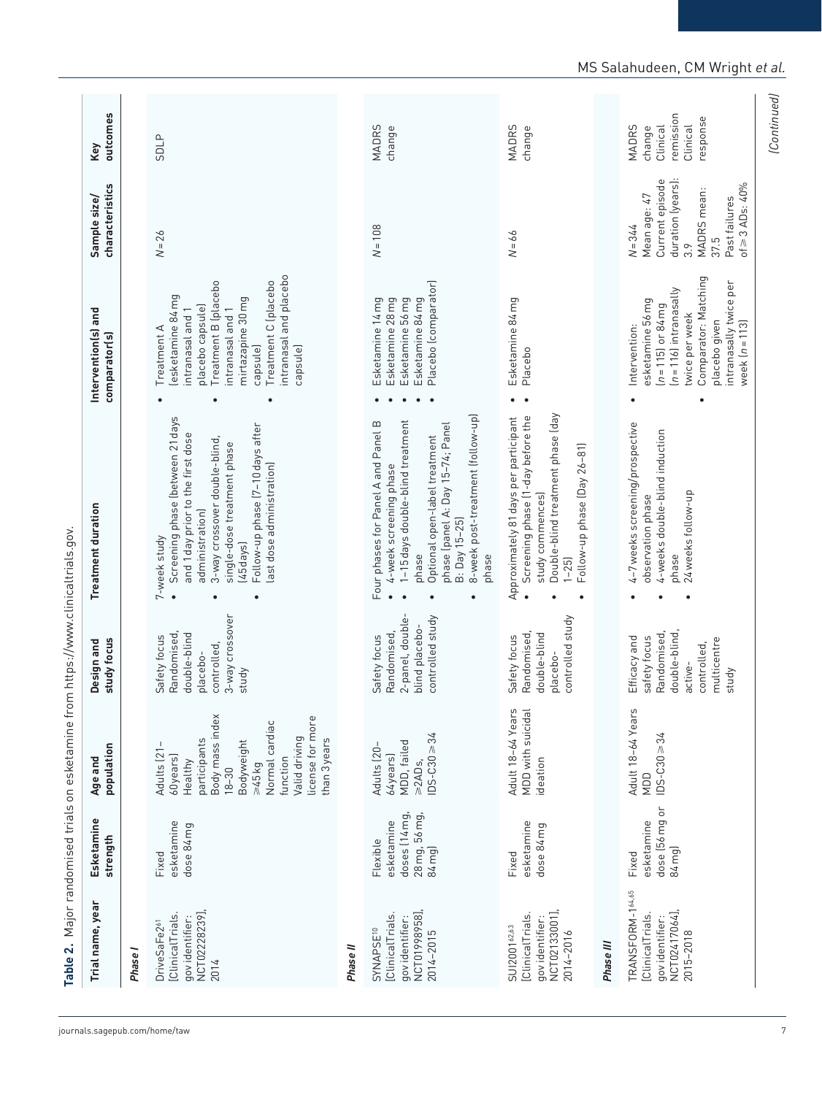| intranasal and placebo<br>Comparator: Matching<br>Treatment B (placebo<br>Treatment C (placebo<br>Placebo (comparator)<br>intranasally twice per<br>$(n = 116)$ intranasally<br>lesketamine 84mg<br>mirtazapine 30 mg<br>Esketamine 14mg<br>Esketamine 28mg<br>Esketamine 56mg<br>Esketamine 84mg<br>Esketamine 84mg<br>esketamine 56 mg<br>$(n = 115)$ or 84 mg<br>placebo capsule)<br>intranasal and 1<br>intranasal and 1<br>twice per week<br>placebo given<br>Intervention:<br>Treatment A<br>capsule)<br>capsule)<br>Placebo<br>Double-blind treatment phase (day<br>Screening phase (1-day before the<br>8-week post-treatment (follow-up)<br>Screening phase (between 21 days<br>Approximately 81 days per participant<br>1-15 days double-blind treatment<br>Four phases for Panel A and Panel B<br>phase (panel A: Day 15-74; Panel<br>4-7 weeks screening/prospective<br>Follow-up phase (7-10 days after<br>4-weeks double-blind induction<br>and 1 day prior to the first dose<br>Optional open-label treatment<br>3-way crossover double-blind,<br>single-dose treatment phase<br>Follow-up phase (Day 26-81)<br>last dose administration)<br>4-week screening phase<br>24 weeks follow-up<br>study commences)<br>observation phase<br>administration)<br>B: Day 15-25)<br>7-week study<br>(45 days)<br>phase<br>phase<br>phase<br>$1 - 25$<br>3-way crossover<br>controlled study<br>controlled study<br>2-panel, double-<br>blind placebo-<br>Randomised,<br>Randomised,<br>Randomised,<br>double-blind<br>double-blind<br>Randomised,<br>double-blind<br>Safety focus<br>Safety focus<br>Safety focus<br>safety focus<br>Efficacy and<br>multicentre<br>controlled,<br>controlled,<br>placebo-<br>placebo-<br>active-<br>study<br>study<br>Adult 18-64 Years<br>MDD with suicidal<br>Adult 18-64 Years<br>Body mass index<br>license for more<br>Normal cardiac<br>$DS-C30 = 34$<br>$105 - C30 \ge 34$<br>Valid driving<br>participants<br>than 3 years<br>Bodyweight<br>MDD, failed<br>Adults [21-<br>Adults (20-<br>64years)<br>60years)<br>function<br>ideation<br>$\geq$ 2AD <sub>5</sub> ,<br>Healthy<br>545kg<br>$18 - 30$<br>NDD<br>dose (56 mg or<br>doses (14 mg,<br>28 mg, 56 mg,<br>esketamine<br>esketamine<br>esketamine<br>esketamine<br>dose 84 mg<br>dose 84 mg<br>Flexible<br>84 mg)<br>84 mg)<br>Fixed<br>Fixed<br>Fixed<br>TRANSFORM-164.65<br>NCT02417064],<br>NCT02228239],<br>NCT01998958],<br>NCT02133001],<br>[ClinicalTrials.<br>[ClinicalTrials<br>[ClinicalTrials<br>[ClinicalTrials<br>gov identifier:<br>gov identifier:<br>gov identifier:<br>gov identifier:<br>DriveSaFe2 <sup>61</sup><br>SUI2001 <sup>62,63</sup><br>SYNAPSE <sup>10</sup><br>2014-2015<br>2014-2016<br>2015-2018<br>Phase III<br>Phase II<br>Phase I<br>2014 | Trial name, year | Esketamine<br>strength | population<br>Age and | study focus<br>Design and | Treatment duration | Intervention(s) and<br>comparator(s) | characteristics<br>Sample size/                                                                                                             | outcomes<br>Key                                                         |
|----------------------------------------------------------------------------------------------------------------------------------------------------------------------------------------------------------------------------------------------------------------------------------------------------------------------------------------------------------------------------------------------------------------------------------------------------------------------------------------------------------------------------------------------------------------------------------------------------------------------------------------------------------------------------------------------------------------------------------------------------------------------------------------------------------------------------------------------------------------------------------------------------------------------------------------------------------------------------------------------------------------------------------------------------------------------------------------------------------------------------------------------------------------------------------------------------------------------------------------------------------------------------------------------------------------------------------------------------------------------------------------------------------------------------------------------------------------------------------------------------------------------------------------------------------------------------------------------------------------------------------------------------------------------------------------------------------------------------------------------------------------------------------------------------------------------------------------------------------------------------------------------------------------------------------------------------------------------------------------------------------------------------------------------------------------------------------------------------------------------------------------------------------------------------------------------------------------------------------------------------------------------------------------------------------------------------------------------------------------------------------------------------------------------------------------------------------------------------------------------------------------------------------------------------------------------------------------------------------------------------------------------------------------------------------------------------------------------------------------------------------------------------------|------------------|------------------------|-----------------------|---------------------------|--------------------|--------------------------------------|---------------------------------------------------------------------------------------------------------------------------------------------|-------------------------------------------------------------------------|
|                                                                                                                                                                                                                                                                                                                                                                                                                                                                                                                                                                                                                                                                                                                                                                                                                                                                                                                                                                                                                                                                                                                                                                                                                                                                                                                                                                                                                                                                                                                                                                                                                                                                                                                                                                                                                                                                                                                                                                                                                                                                                                                                                                                                                                                                                                                                                                                                                                                                                                                                                                                                                                                                                                                                                                                  |                  |                        |                       |                           |                    |                                      |                                                                                                                                             |                                                                         |
|                                                                                                                                                                                                                                                                                                                                                                                                                                                                                                                                                                                                                                                                                                                                                                                                                                                                                                                                                                                                                                                                                                                                                                                                                                                                                                                                                                                                                                                                                                                                                                                                                                                                                                                                                                                                                                                                                                                                                                                                                                                                                                                                                                                                                                                                                                                                                                                                                                                                                                                                                                                                                                                                                                                                                                                  |                  |                        |                       |                           |                    |                                      | $N = 26$                                                                                                                                    | <b>SDLP</b>                                                             |
|                                                                                                                                                                                                                                                                                                                                                                                                                                                                                                                                                                                                                                                                                                                                                                                                                                                                                                                                                                                                                                                                                                                                                                                                                                                                                                                                                                                                                                                                                                                                                                                                                                                                                                                                                                                                                                                                                                                                                                                                                                                                                                                                                                                                                                                                                                                                                                                                                                                                                                                                                                                                                                                                                                                                                                                  |                  |                        |                       |                           |                    |                                      |                                                                                                                                             |                                                                         |
|                                                                                                                                                                                                                                                                                                                                                                                                                                                                                                                                                                                                                                                                                                                                                                                                                                                                                                                                                                                                                                                                                                                                                                                                                                                                                                                                                                                                                                                                                                                                                                                                                                                                                                                                                                                                                                                                                                                                                                                                                                                                                                                                                                                                                                                                                                                                                                                                                                                                                                                                                                                                                                                                                                                                                                                  |                  |                        |                       |                           |                    |                                      | $N = 108$                                                                                                                                   | <b>MADRS</b><br>change                                                  |
|                                                                                                                                                                                                                                                                                                                                                                                                                                                                                                                                                                                                                                                                                                                                                                                                                                                                                                                                                                                                                                                                                                                                                                                                                                                                                                                                                                                                                                                                                                                                                                                                                                                                                                                                                                                                                                                                                                                                                                                                                                                                                                                                                                                                                                                                                                                                                                                                                                                                                                                                                                                                                                                                                                                                                                                  |                  |                        |                       |                           |                    |                                      | $N = 66$                                                                                                                                    | <b>MADRS</b><br>change                                                  |
|                                                                                                                                                                                                                                                                                                                                                                                                                                                                                                                                                                                                                                                                                                                                                                                                                                                                                                                                                                                                                                                                                                                                                                                                                                                                                                                                                                                                                                                                                                                                                                                                                                                                                                                                                                                                                                                                                                                                                                                                                                                                                                                                                                                                                                                                                                                                                                                                                                                                                                                                                                                                                                                                                                                                                                                  |                  |                        |                       |                           |                    |                                      |                                                                                                                                             |                                                                         |
|                                                                                                                                                                                                                                                                                                                                                                                                                                                                                                                                                                                                                                                                                                                                                                                                                                                                                                                                                                                                                                                                                                                                                                                                                                                                                                                                                                                                                                                                                                                                                                                                                                                                                                                                                                                                                                                                                                                                                                                                                                                                                                                                                                                                                                                                                                                                                                                                                                                                                                                                                                                                                                                                                                                                                                                  |                  |                        |                       |                           |                    | week $(n=113)$                       | duration (years):<br>Current episode<br>of $\geq$ 3 ADs: $40\%$<br>MADRS mean:<br>Mean age: 47<br>Past failures<br>$N = 344$<br>37.5<br>3.9 | remission<br>response<br>Clinical<br><b>MADRS</b><br>Clinical<br>change |

# MS Salahudeen, CM Wright *et al.*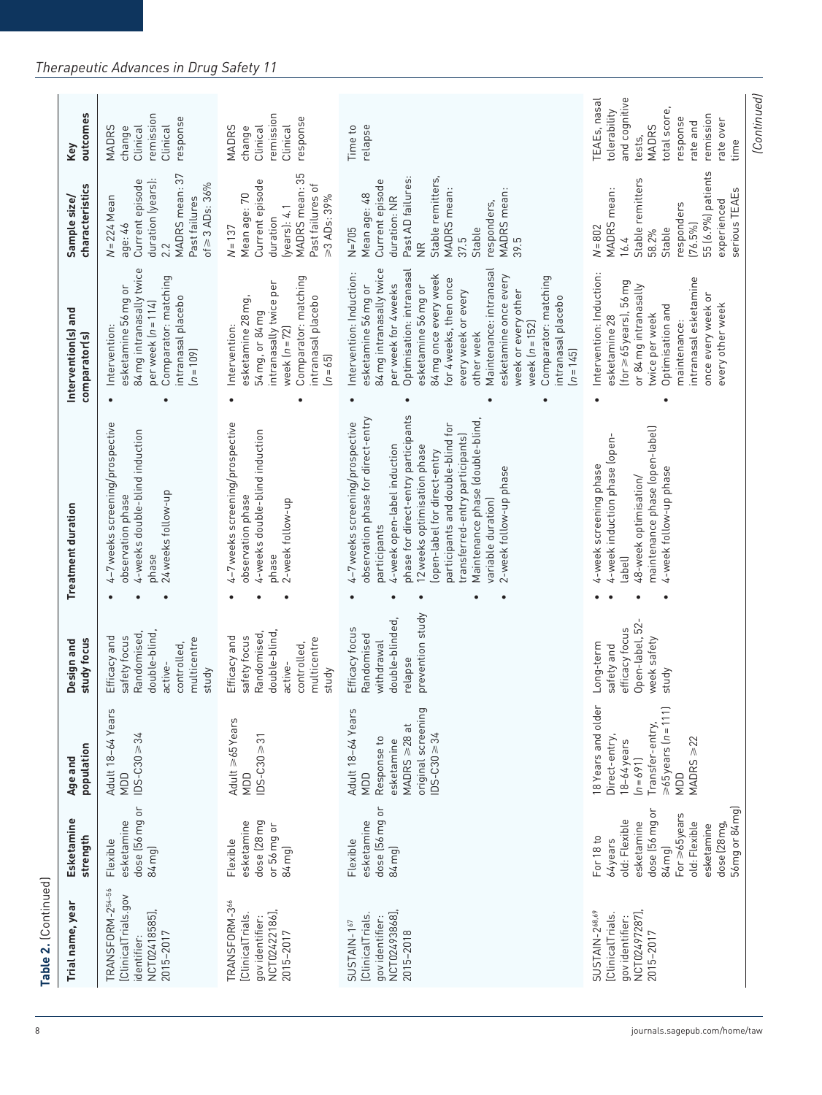| Trial name, year                                                                     | Esketamine<br>strength                                                                                                                                                             | population<br>Age and                                                                                                                   | study focus<br>Design and                                                                                     | <b>Treatment duration</b>                                                                                                                                                                                                                                                                                                                                                              | Intervention(s) and<br>comparator(s)                                                                                                                                                                                                                                                                                                                                                                      | characteristics<br>Sample size/                                                                                                                                                                         | outcomes<br>Key                                                                                                                                                  |
|--------------------------------------------------------------------------------------|------------------------------------------------------------------------------------------------------------------------------------------------------------------------------------|-----------------------------------------------------------------------------------------------------------------------------------------|---------------------------------------------------------------------------------------------------------------|----------------------------------------------------------------------------------------------------------------------------------------------------------------------------------------------------------------------------------------------------------------------------------------------------------------------------------------------------------------------------------------|-----------------------------------------------------------------------------------------------------------------------------------------------------------------------------------------------------------------------------------------------------------------------------------------------------------------------------------------------------------------------------------------------------------|---------------------------------------------------------------------------------------------------------------------------------------------------------------------------------------------------------|------------------------------------------------------------------------------------------------------------------------------------------------------------------|
| TRANSFORM-254-56<br>[ClinicalTrials.gov<br>NCT02418585],<br>2015-2017<br>identifier: | dose (56 mg or<br>esketamine<br>Flexible<br>84 mg)                                                                                                                                 | Adult 18-64 Years<br>$105 - C30 \ge 34$<br>NDD                                                                                          | Randomised<br>double-blind<br>safety focus<br>Efficacy and<br>multicentre<br>controlled,<br>active-<br>study  | 4-7 weeks screening/prospective<br>4-weeks double-blind induction<br>24 weeks follow-up<br>observation phase<br>phase                                                                                                                                                                                                                                                                  | 84 mg intranasally twice<br>Comparator: matching<br>esketamine 56 mg or<br>intranasal placebo<br>per week $[n = 114]$<br>Intervention:<br>$(n = 109)$                                                                                                                                                                                                                                                     | MADRS mean: 37<br>duration (years):<br>Current episode<br>of $\geq 3$ ADs: $36\%$<br>$N = 224$ Mean<br>Past failures<br>$\overline{a}$ ge: 46<br>2.2                                                    | remission<br>response<br>Clinical<br>Clinical<br><b>MADRS</b><br>change                                                                                          |
| TRANSFORM-366<br>NCT02422186],<br>[ClinicalTrials.<br>gov identifier:<br>2015-2017   | dose (28 mg<br>esketamine<br>or 56 mg or<br>Flexible<br>84 mg)                                                                                                                     | Adult $\geq 65$ Years<br>$DS-C30 \ge 31$<br>NDD                                                                                         | Randomised,<br>double-blind<br>Efficacy and<br>safety focus<br>multicentre<br>controlled,<br>active-<br>study | 4-7 weeks screening/prospective<br>4-weeks double-blind induction<br>observation phase<br>2-week follow-up<br>phase                                                                                                                                                                                                                                                                    | Comparator: matching<br>intranasally twice per<br>intranasal placebo<br>esketamine 28 mg,<br>54 mg, or 84 mg<br>Intervention:<br>week $(n = 72)$<br>$[n = 65]$<br>$\bullet$                                                                                                                                                                                                                               | MADRS mean: 35<br>Current episode<br>Past failures of<br>Mean age: 70<br>≥3 ADs: 39%<br>(years): 4.1<br>duration<br>$N = 137$                                                                           | remission<br>response<br>Clinical<br><b>MADRS</b><br>Clinical<br>change                                                                                          |
| NCT02493868],<br>[ClinicalTrials.<br>gov identifier:<br>SUSTAIN-167<br>2015-2018     | dose (56 mg or<br>esketamine<br>Flexible<br>84 mg)                                                                                                                                 | Adult 18-64 Years<br>original screening<br>MADRS $\geq 28$ at<br>$DS - C30 \ge 34$<br>Response to<br>esketamine<br>NDD                  | prevention study<br>double-blinded,<br>Efficacy focus<br>Randomised<br>withdrawal<br>relapse                  | phase for direct-entry participants<br>observation phase for direct-entry<br>Maintenance phase (double-blind,<br>4-7 weeks screening/prospective<br>participants and double-blind for<br>transferred-entry participants)<br>4-week open-label induction<br>12 weeks optimisation phase<br>lopen-label for direct-entry<br>2-week follow-up phase<br>variable duration)<br>participants | 84 mg intranasally twice<br>Maintenance: intranasal<br>Optimisation: intranasal<br>Intervention: Induction:<br>esketamine once every<br>84 mg once every week<br>Comparator: matching<br>for 4 weeks, then once<br>per week for 4weeks<br>esketamine 56 mg or<br>esketamine 56 mg or<br>every week or every<br>week or every other<br>intranasal placebo<br>week $(n = 152)$<br>other week<br>$[n = 145]$ | Past AD failures:<br>Stable remitters,<br>Current episode<br>MADRS mean:<br>MADRS mean:<br>Mean age: 48<br>duration: NR<br>responders,<br>$N = 705$<br>Stable<br>39.5<br>37.5<br>$\frac{\alpha}{\beta}$ | Time to<br>relapse                                                                                                                                               |
| NCT02497287],<br>SUSTAIN-268.69<br>[ClinicalTrials.<br>qov identifier:<br>2015-2017  | 56 mg or 84 mg)<br>dose (56 mg or<br>For $\geq 65$ years<br>old: Flexible<br>esketamine<br>dose (28 mg,<br>old: Flexible<br>esketamine<br>For 18 to<br>64years<br>84 <sub>mg</sub> | 18 Years and older<br>$>65$ years $[n=111]$<br>Transfer-entry,<br>Direct-entry,<br>$MADRS \geq 22$<br>18-64 years<br>$[n = 691]$<br>NDD | Open-label, 52-<br>efficacy focus<br>week safety<br>Long-term<br>safety and<br>study                          | maintenance phase (open-label)<br>4-week induction phase (open-<br>4-week screening phase<br>4-week follow-up phase<br>48-week optimisation/<br>(Jedgal                                                                                                                                                                                                                                | Intervention: Induction:<br>intranasal esketamine<br>$[for \geq 65$ years), $56$ mg<br>or 84 mg intranasally<br>once every week or<br>every other week<br>Optimisation and<br>twice per week<br>esketamine 28<br>maintenance:                                                                                                                                                                             | 55 (6.9%) patients<br>Stable remitters<br>MADRS mean:<br>serious TEAEs<br>experienced<br>responders<br>$(76.5\%)$<br>$N = 802$<br>Stable<br>58.2%<br>16.4                                               | (Continued)<br>and cognitive<br>TEAEs, nasal<br>total score,<br>tolerability<br>remission<br>response<br>rate over<br>rate and<br><b>MADRS</b><br>tests,<br>time |

# *Therapeutic Advances in Drug Safety 11*

**Table 2.** (Continued)

Table 2. (Continued)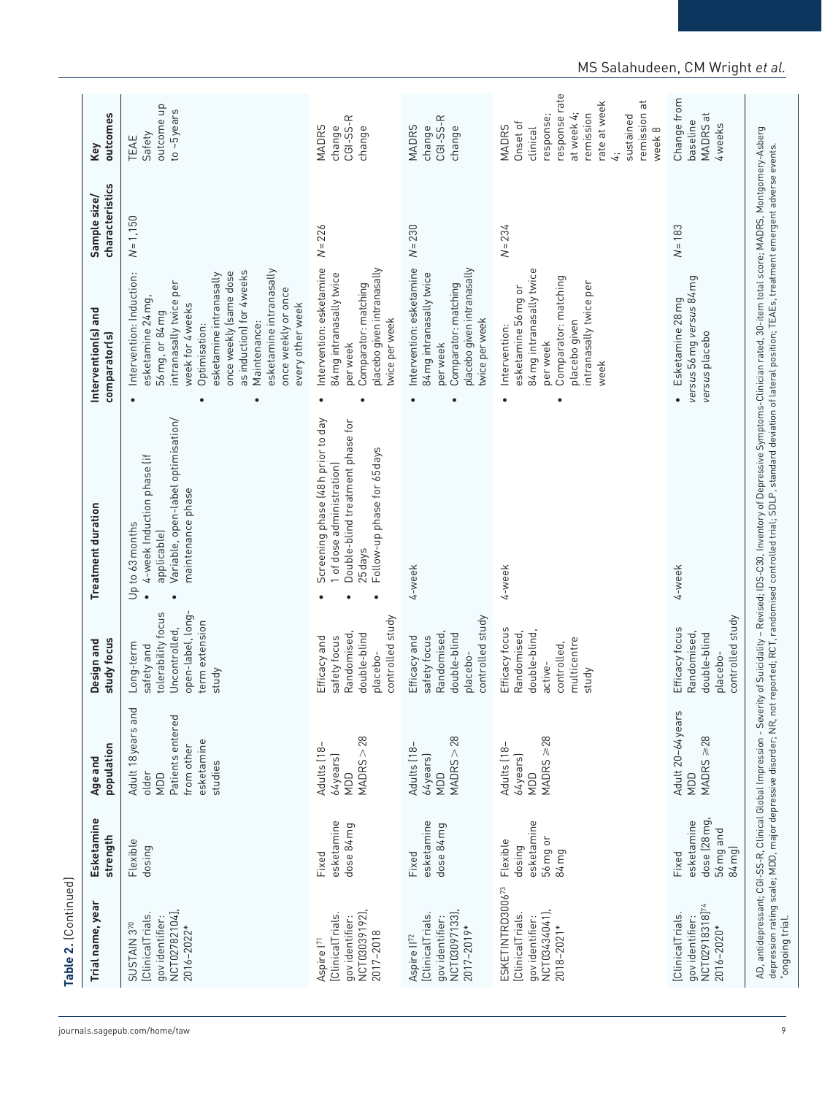| Trial name, year                                                                            | Esketamine<br>strength                                    | population<br>Age and                                                                         | study focus<br>Design and                                                                                      | <b>Treatment duration</b>                                                                                                                    | Intervention(s) and<br>comparator(s)                                                                                                                                                                                                                                                                                 | characteristics<br>Sample size/ | outcomes<br>Key                                                                                                                                     |
|---------------------------------------------------------------------------------------------|-----------------------------------------------------------|-----------------------------------------------------------------------------------------------|----------------------------------------------------------------------------------------------------------------|----------------------------------------------------------------------------------------------------------------------------------------------|----------------------------------------------------------------------------------------------------------------------------------------------------------------------------------------------------------------------------------------------------------------------------------------------------------------------|---------------------------------|-----------------------------------------------------------------------------------------------------------------------------------------------------|
| NCT02782104],<br>[ClinicalTrials<br>gov identifier:<br>SUSTAIN 370<br>2016-2022*            | Flexible<br>dosing                                        | Adult 18 years and<br>Patients entered<br>esketamine<br>from other<br>studies<br>older<br>NDD | open-label, long-<br>tolerability focus<br>term extension<br>Uncontrolled,<br>Long-term<br>safety and<br>study | Variable, open-label optimisation/<br>4-week Induction phase (if<br>maintenance phase<br>Up to 63 months<br>applicable)<br>$\bullet$         | esketamine intranasally<br>as induction) for 4 weeks<br>Intervention: Induction:<br>once weekly (same dose<br>esketamine intranasally<br>intranasally twice per<br>once weekly or once<br>esketamine 24 mg,<br>week for 4 weeks<br>every other week<br>56 mg, or 84 mg<br>Maintenance:<br>Optimisation:<br>$\bullet$ | $N = 1,150$                     | outcome up<br>to ~5years<br>Safety<br>TEAE                                                                                                          |
| NCT03039192)<br>[ClinicalTrials.<br>gov identifier:<br>2017-2018<br>Aspire l <sup>71</sup>  | esketamine<br>dose 84 mg<br>Fixed                         | MADRS > 28<br>Adults [18-<br>$64$ years<br>NDD                                                | controlled study<br>Randomised<br>double-blind<br>Efficacy and<br>safety focus<br>placebo-                     | Screening phase (48h prior to day<br>Double-blind treatment phase for<br>Follow-up phase for 65 days<br>1 of dose administration)<br>25 days | Intervention: esketamine<br>placebo given intranasally<br>84 mg intranasally twice<br>Comparator: matching<br>twice per week<br>per week                                                                                                                                                                             | $N = 226$                       | CGI-SS-R<br>change<br>MADRS<br>change                                                                                                               |
| NCT03097133)<br>[ClinicalTrials<br>gov identifier:<br>2017-2019*<br>Aspire II <sup>72</sup> | esketamine<br>dose 84 mg<br>Fixed                         | MADRS > 28<br>Adults (18-<br>$64$ years<br>NDD                                                | controlled study<br>double-blind<br>Randomised<br>Efficacy and<br>safety focus<br>placebo-                     | 4-week                                                                                                                                       | Intervention: esketamine<br>placebo given intranasally<br>84 mg intranasally twice<br>Comparator: matching<br>twice per week<br>per week                                                                                                                                                                             | $N = 230$                       | CGI-SS-R<br><b>MADRS</b><br>change<br>change                                                                                                        |
| ESKETINTRD300673<br>NCT03434041),<br>[ClinicalTrials.<br>gov identifier:<br>$2018 - 2021*$  | esketamine<br>56 mg or<br>Flexible<br>dosing<br>84 mg     | $MADRS \geq 28$<br>Adults [18-<br>64years)<br>QOM                                             | Efficacy focus<br>double-blind,<br>Randomised,<br>multicentre<br>controlled,<br>active-<br>study               | 4-week                                                                                                                                       | 84 mg intranasally twice<br>Comparator: matching<br>intranasally twice per<br>esketamine 56 mg or<br>placebo given<br>Intervention:<br>per week<br>week                                                                                                                                                              | $N = 234$                       | response rate<br>remission at<br>rate at week<br>at week 4;<br>remission<br>response;<br>sustained<br>Onset of<br>MADRS<br>clinical<br>week 8<br>4: |
| NCT02918318] <sup>74</sup><br>[ClinicalTrials.<br>gov identifier:<br>2016-2020*             | dose (28 mg<br>esketamine<br>56 mg and<br>84 mg)<br>Fixed | Adult 20-64 years<br>$MADRS \geq 28$<br>NDD                                                   | controlled study<br>Efficacy focus<br>Randomised,<br>double-blind<br>placebo-                                  | 4-week                                                                                                                                       | versus 56 mg versus 84 mg<br>· Esketamine 28mg<br>versus placebo                                                                                                                                                                                                                                                     | $N = 183$                       | Change from<br>MADRS at<br>baseline<br>4 weeks                                                                                                      |

# MS Salahudeen, CM Wright *et al.*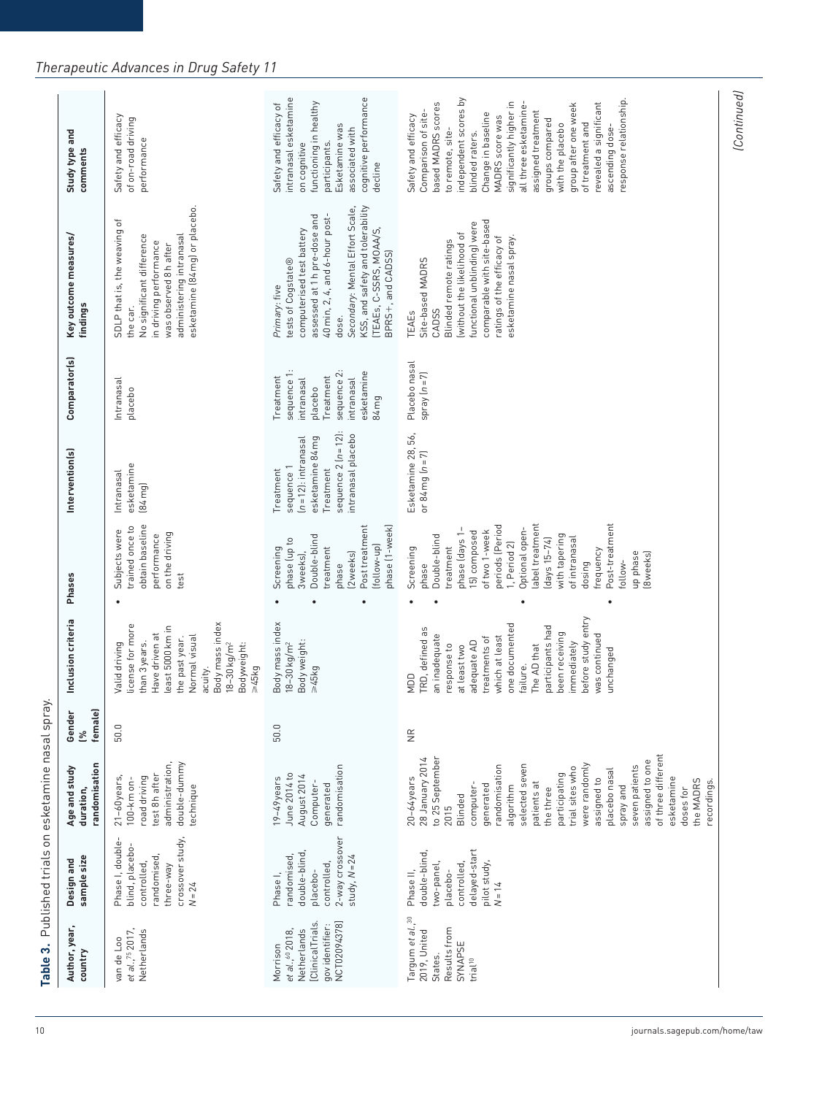| Netherlands<br>et al., <sup>75</sup> 2017,<br>van de Loo | sample size<br>Design and                                                                                       | Age and study<br>duration,                                                                                                                                                                                                                                                                                                                                                                         | Gender<br>్త       | Inclusion criteria                                                                                                                                                                                                                                                             | Phases                                                                                                                                                                                                                                                                                                     | Intervention(s)                                                                                                                    | Comparator(s)                                                                                                     | Key outcome measures/<br>findings                                                                                                                                                                                                                                  | Study type and<br>comments                                                                                                                                                                                                                                                                                                                                                                                    |
|----------------------------------------------------------|-----------------------------------------------------------------------------------------------------------------|----------------------------------------------------------------------------------------------------------------------------------------------------------------------------------------------------------------------------------------------------------------------------------------------------------------------------------------------------------------------------------------------------|--------------------|--------------------------------------------------------------------------------------------------------------------------------------------------------------------------------------------------------------------------------------------------------------------------------|------------------------------------------------------------------------------------------------------------------------------------------------------------------------------------------------------------------------------------------------------------------------------------------------------------|------------------------------------------------------------------------------------------------------------------------------------|-------------------------------------------------------------------------------------------------------------------|--------------------------------------------------------------------------------------------------------------------------------------------------------------------------------------------------------------------------------------------------------------------|---------------------------------------------------------------------------------------------------------------------------------------------------------------------------------------------------------------------------------------------------------------------------------------------------------------------------------------------------------------------------------------------------------------|
|                                                          | crossover study,<br>Phase I, double-<br>blind, placebo-<br>randomised<br>controlled,<br>three-way<br>$N = 24$   | double-dummy<br>randomisation<br>administration,<br>test 8h after<br>road driving<br>21-60 years<br>$100 - km$ on-<br>technique                                                                                                                                                                                                                                                                    | female)<br>50.0    | Body mass index<br>license for more<br>east 5000 km in<br>Have driven at<br>Normal visual<br>the past year.<br>than 3 years.<br>$18 - 30$ kg/m <sup>2</sup><br>Valid driving<br>Bodyweight:<br>p45kg<br>acuity.                                                                | obtain baseline<br>trained once to<br>Subjects were<br>on the driving<br>performance<br>test                                                                                                                                                                                                               | esketamine<br>Intranasal<br>$(84 \text{ mg})$                                                                                      | Intranasal<br>placebo                                                                                             | esketamine (84 mg) or placebo.<br>SDLP that is, the weaving of<br>administering intranasal<br>No significant difference<br>in driving performance<br>was observed 8h after<br>the car                                                                              | Safety and efficacy<br>of on-road driving<br>performance                                                                                                                                                                                                                                                                                                                                                      |
|                                                          | 2-way crossover<br>double-blind<br>randomised<br>study, $N = 24$<br>controlled<br>placebo-<br>Phase I,          | randomisation<br>June 2014 to<br>August 2014<br>$19-49$ years<br>Computer-<br>generated                                                                                                                                                                                                                                                                                                            | 50.0               | Body mass index<br>Body weight:<br>$18 - 30$ kg/m <sup>2</sup><br>$\geq 45$ kg                                                                                                                                                                                                 | phase (1-week)<br>Post treatment<br>Double-blind<br>phase (up to<br>(follow-up)<br>treatment<br>Screening<br>3weeks),<br>[2weeks]<br>phase                                                                                                                                                                 | sequence $2 (n = 12)$ :<br>intranasal placebo<br>esketamine 84 mg<br>$(n=12)$ : intranasal<br>sequence 1<br>Treatment<br>Treatment | sequence 1:<br>sequence 2:<br>esketamine<br>reatment<br>Treatment<br>intranasal<br>intranasal<br>placebo<br>84 mg | KSS, and safety and tolerability<br>Secondary: Mental Effort Scale,<br>assessed at 1h pre-dose and<br>$40$ min, 2, 4, and 6-hour post-<br>TEAEs, C-SSRS, MOAA/S,<br>computerised test battery<br>BPRS+, and CADSS)<br>tests of Cogstate®<br>Primary: five<br>dose. | cognitive performance<br>intranasal esketamine<br>functioning in healthy<br>Safety and efficacy of<br>Esketamine was<br>associated with<br>participants.<br>on cognitive<br>decline                                                                                                                                                                                                                           |
| Targum et al., 30                                        | delayed-start<br>double-blind,<br>pilot study,<br>two-panel,<br>controlled<br>placebo-<br>Phase II,<br>$N = 14$ | of three different<br>28 January 2014<br>to 25 September<br>assigned to one<br>were randomly<br>selected seven<br>seven patients<br>randomisation<br>trial sites who<br>placebo nasal<br>participating<br>$20 - 64$ years<br>assigned to<br>esketamine<br>the MADRS<br>recordings.<br>patients at<br>generated<br>computer-<br>algorithm<br>spray and<br>the three<br>doses for<br>Blinded<br>2015 | $\frac{\alpha}{Z}$ | before study entry<br>one documented<br>participants had<br>TRD, defined as<br>been receiving<br>was continued<br>an inadequate<br>treatments of<br>which at least<br>adequate AD<br>immediately<br>response to<br>at least two<br>The AD that<br>unchanged<br>failure.<br>NDD | Post-treatment<br>periods (Period<br>label treatment<br>phase (days 1-<br>Optional open-<br>15) composed<br>of two 1-week<br>with tapering<br>Double-blind<br>$(days 15-74)$<br>of intranasal<br>1, Period 2)<br>treatment<br>Screening<br>frequency<br>up phase<br>(8weeks)<br>follow-<br>dosing<br>phase | Esketamine 28, 56,<br>or $84 \text{ mg}$ $(n = 7)$                                                                                 | Placebo nasal<br>spray $(n = 7)$                                                                                  | comparable with site-based<br>functional unblinding) were<br>without the likelihood of<br>ratings of the efficacy of<br>esketamine nasal spray.<br>Blinded remote ratings<br>Site-based MADRS<br>CADSS<br>TEAEs                                                    | independent scores by<br>response relationship.<br>significantly higher in<br>revealed a significant<br>based MADRS scores<br>all three esketamine-<br>group after one week<br>Comparison of site-<br>assigned treatment<br>Change in baseline<br>Safety and efficacy<br>MADRS score was<br>groups compared<br>of treatment and<br>with the placebo<br>ascending dose-<br>to remote, site-<br>blinded raters. |

# *Therapeutic Advances in Drug Safety 11*

(Continued) *(Continued)*

Table 3. Published trials on esketamine nasal spray.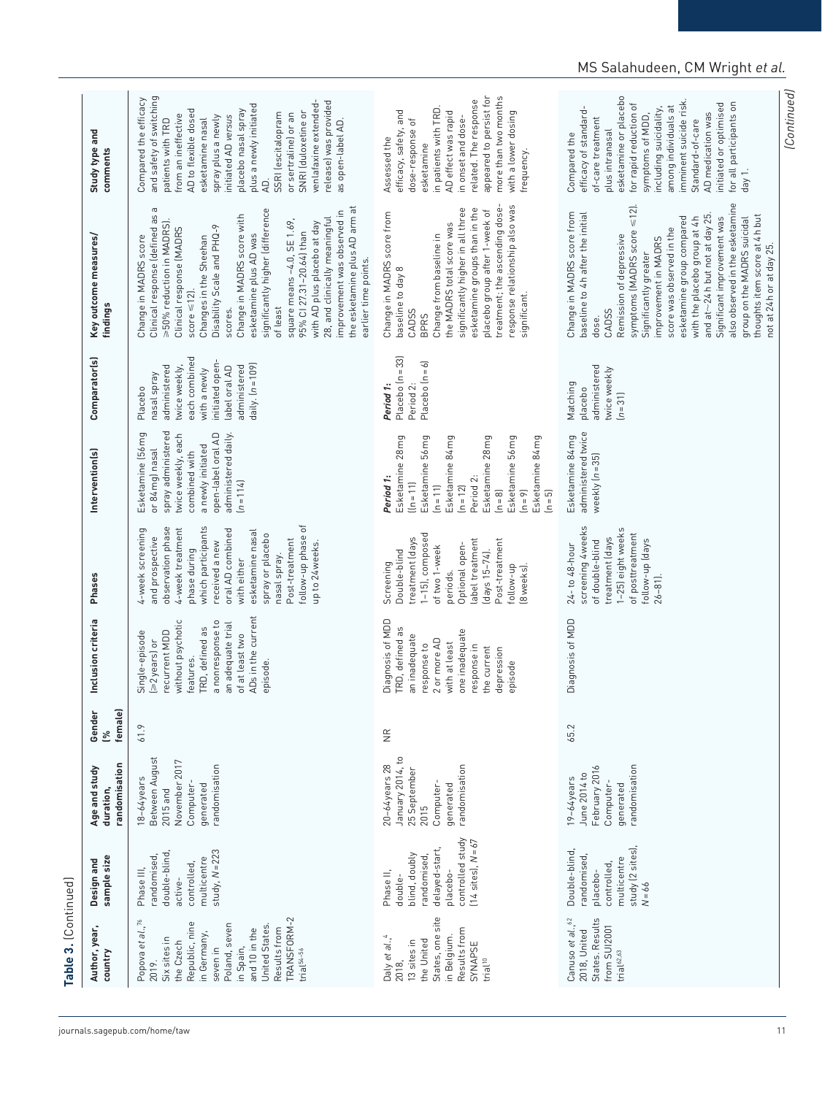| Author, year,<br>country                                                                                                                                                                                                      | sample size<br>Design and                                                                                                                | randomisation<br>Age and study<br>duration,                                                              | female)<br>Gender<br>L% | Inclusion criteria                                                                                                                                                                                 | Phases                                                                                                                                                                                                                                                                                     | Intervention(s)                                                                                                                                                                                                                | Comparator(s)                                                                                                                                                      | Key outcome measures/<br>findings                                                                                                                                                                                                                                                                                                                                                                                                                                                                                                                 | Study type and<br>comments                                                                                                                                                                                                                                                                                                                                                               |
|-------------------------------------------------------------------------------------------------------------------------------------------------------------------------------------------------------------------------------|------------------------------------------------------------------------------------------------------------------------------------------|----------------------------------------------------------------------------------------------------------|-------------------------|----------------------------------------------------------------------------------------------------------------------------------------------------------------------------------------------------|--------------------------------------------------------------------------------------------------------------------------------------------------------------------------------------------------------------------------------------------------------------------------------------------|--------------------------------------------------------------------------------------------------------------------------------------------------------------------------------------------------------------------------------|--------------------------------------------------------------------------------------------------------------------------------------------------------------------|---------------------------------------------------------------------------------------------------------------------------------------------------------------------------------------------------------------------------------------------------------------------------------------------------------------------------------------------------------------------------------------------------------------------------------------------------------------------------------------------------------------------------------------------------|------------------------------------------------------------------------------------------------------------------------------------------------------------------------------------------------------------------------------------------------------------------------------------------------------------------------------------------------------------------------------------------|
| TRANSFORM-2<br>Popova et al., 76<br>Republic, nine<br>Poland, seven<br>United States<br>Results from<br>and 10 in the<br>in Germany,<br>Six sites in<br>the Czech<br>in Spain,<br>seven in<br>trial <sup>54-56</sup><br>2019. | study, $N = 223$<br>double-blind,<br>randomised<br>multicentre<br>controlled,<br>Phase III,<br>active-                                   | Between August<br>November 2017<br>randomisation<br>18-64years<br>Computer-<br>generated<br>$2015$ and   | 61.9                    | ADs in the current<br>without psychotic<br>a nonresponse to<br>an adequate trial<br>TRD, defined as<br>Single-episode<br>recurrent MDD<br>of at least two<br>[≥2years] or<br>features.<br>episode. | follow-up phase of<br>which participants<br>observation phase<br>4-week treatment<br>4-week screening<br>oral AD combined<br>esketamine nasal<br>spray or placebo<br>and prospective<br>Post-treatment<br>received a new<br>up to 24 weeks.<br>phase during<br>nasal spray.<br>with either | spray administered<br>Esketamine (56 mg<br>open-label oral AD<br>administered daily.<br>twice weekly, each<br>a newly initiated<br>or 84 mg) nasal<br>combined with<br>$[n = 114]$                                             | each combined<br>initiated open-<br>twice weekly,<br>daily. $(n = 109)$<br>administered<br>administered<br>label oral AD<br>with a newly<br>nasal spray<br>Placebo | the esketamine plus AD arm at<br>$\, \sigma$<br>significantly higher (difference<br>improvement was observed in<br>Clinical response (defined as<br>Change in MADRS score with<br>28, and clinically meaningful<br>square means -4.0, SE 1.69,<br>>50% reduction in MADRS).<br>with AD plus placebo at day<br>Disability Scale and PHQ-9<br>Clinical response (MADRS<br>95% CI 27.31-20.64) than<br>esketamine plus AD was<br>Change in MADRS score<br>Changes in the Sheehan<br>earlier time points.<br>score $\leq$ 12].<br>of least<br>scores. | and safety of switching<br>Compared the efficacy<br>release) was provided<br>venlafaxine extended-<br>plus a newly initiated<br>AD to flexible dosed<br>placebo nasal spray<br>SNRI (duloxetine or<br>SSRI (escitalopram<br>or sertraline) or an<br>from an ineffective<br>initiated AD versus<br>spray plus a newly<br>patients with TRD<br>esketamine nasal<br>as open-label AD.<br>Q. |
| States, one site<br>Results from<br>in Belgium.<br>Daly et al., <sup>4</sup><br>the United<br>13 sites in<br>SYNAPSE<br>trial <sup>10</sup><br>2018,                                                                          | controlled study<br>$(14 \text{ sites})$ , $N = 67$<br>delayed-start,<br>blind, doubly<br>randomised<br>placebo-<br>Phase II,<br>double- | January 2014, to<br>$20-64$ years $28$<br>randomisation<br>25 September<br>Computer<br>generated<br>2015 | $\frac{\alpha}{\alpha}$ | Diagnosis of MDD<br>TRD, defined as<br>one inadequate<br>an inadequate<br>2 or more AD<br>with at least<br>response to<br>response in<br>the current<br>depression<br>episode                      | $1-15$ ), composed<br>treatment (days<br>label treatment<br>Post-treatment<br>Optional open-<br>of two 1-week<br>Double-blind<br>(days 15-74).<br>Screening<br>follow-up<br>[8weeks].<br>periods.                                                                                          | Esketamine 84 mg<br>Esketamine 84 mg<br>Esketamine 28 mg<br>Esketamine 56 mg<br>Esketamine 28 mg<br>Esketamine 56 mg<br>Period 2:<br>Period 1:<br>$ln = 11$<br>$[n = 11]$<br>$(n = 12)$<br>$[n = 8]$<br>$[n = 5]$<br>$(n = 9)$ | Placebo $[n=33]$<br>Placebo $(n = 6)$<br>Period 1:<br>Period 2:                                                                                                    | response relationship also was<br>treatment; the ascending dose-<br>significantly higher in all three<br>esketamine groups than in the<br>placebo group after 1-week of<br>Change in MADRS score from<br>the MADRS total score was<br>Change from baseline in<br>baseline to day 8<br>significant.<br>CADSS<br><b>BPRS</b>                                                                                                                                                                                                                        | appeared to persist for<br>more than two months<br>related. The response<br>in patients with TRD.<br>efficacy, safety, and<br>AD effect was rapid<br>with a lower dosing<br>in onset and dose-<br>dose-response of<br>Assessed the<br>esketamine<br>frequency.                                                                                                                           |
| Canuso et al., 62<br>States. Results<br>from SUI2001<br>2018, United<br>$triab$ <sup>62,63</sup>                                                                                                                              | study (2 sites),<br>Double-blind,<br>randomised,<br>multicentre<br>controlled,<br>placebo-<br>$N = 66$                                   | February 2016<br>randomisation<br>June 2014 to<br>19-64 years<br>Computer-<br>generated                  | 65.2                    | Diagnosis of MDD                                                                                                                                                                                   | screening 4 weeks<br>1-25) eight weeks<br>of posttreatment<br>treatment (days<br>follow-up (days<br>of double-blind<br>24-to 48-hour<br>$26 - 81$ ].                                                                                                                                       | administered twice<br>Esketamine 84 mg<br>weekly $(n=35)$                                                                                                                                                                      | administered<br>twice weekly<br>Matching<br>placebo<br>$(n=31)$                                                                                                    | also observed in the esketamine<br>symptoms (MADRS score $\leq$ 12).<br>Change in MADRS score from<br>baseline to 4h after the initial<br>and at $\sim$ 24 h but not at day 25.<br>thoughts item score at 4h but<br>esketamine group compared<br>with the placebo group at 4h<br>group on the MADRS suicidal<br>Significant improvement was<br>score was observed in the<br>Remission of depressive<br>improvement in MADRS<br>not at 24h or at day 25.<br>Significantly greater<br>CADSS<br>dose.                                                | esketamine or placebo<br>imminent suicide risk.<br>for all participants on<br>for rapid reduction of<br>initiated or optimised<br>efficacy of standard-<br>among individuals at<br>including suicidality<br>AD medication was<br>symptoms of MDD,<br>of-care treatment<br>Standard-of-care<br>plus intranasal<br>Compared the<br>day 1.                                                  |

# MS Salahudeen, CM Wright *et al.*

*(Continued)*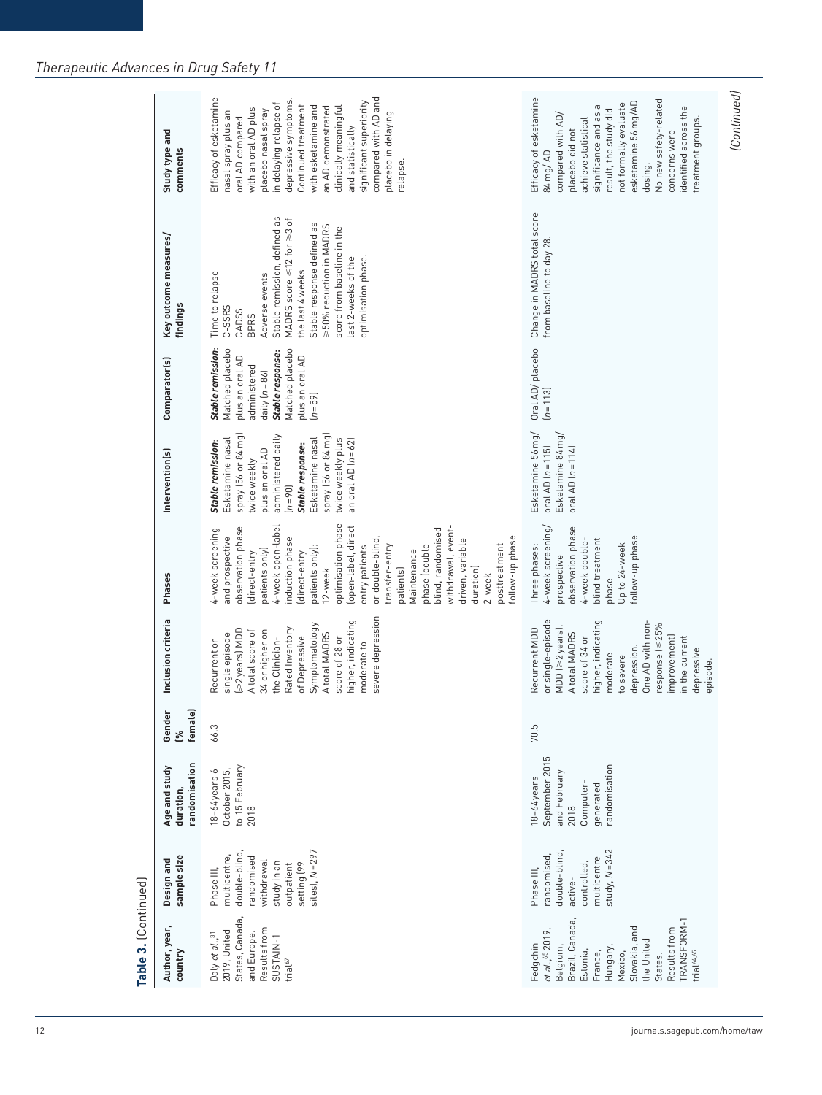| Author, year,<br>country                                                                                                                                                                                           | sample size<br>Design and                                                                                                               | randomisation<br>Age and study<br>duration,                                                     | female)<br>Gender<br>L | Inclusion criteria                                                                                                                                                                                                                                           | Phases                                                                                                                                                                                                                                                                                                                                                                                                                                                        | Intervention(s)                                                                                                                                                                                                                                  | Comparator(s)                                                                                                                                                     | Key outcome measures/<br>findings                                                                                                                                                                                                                                                                     | Study type and<br>comments                                                                                                                                                                                                                                                                                                                                                 |
|--------------------------------------------------------------------------------------------------------------------------------------------------------------------------------------------------------------------|-----------------------------------------------------------------------------------------------------------------------------------------|-------------------------------------------------------------------------------------------------|------------------------|--------------------------------------------------------------------------------------------------------------------------------------------------------------------------------------------------------------------------------------------------------------|---------------------------------------------------------------------------------------------------------------------------------------------------------------------------------------------------------------------------------------------------------------------------------------------------------------------------------------------------------------------------------------------------------------------------------------------------------------|--------------------------------------------------------------------------------------------------------------------------------------------------------------------------------------------------------------------------------------------------|-------------------------------------------------------------------------------------------------------------------------------------------------------------------|-------------------------------------------------------------------------------------------------------------------------------------------------------------------------------------------------------------------------------------------------------------------------------------------------------|----------------------------------------------------------------------------------------------------------------------------------------------------------------------------------------------------------------------------------------------------------------------------------------------------------------------------------------------------------------------------|
| States, Canada,<br>Results from<br>2019, United<br>and Europe.<br>Daly et al., <sup>31</sup><br>SUSTAIN-1<br>trial $67$                                                                                            | sites), $N = 297$<br>double-blind<br>multicentre,<br>randomised<br>withdrawal<br>ne ni ybuts<br>setting (99<br>outpatient<br>Phase III, | to 15 February<br>$18-64$ years $6$<br>October 2015,<br>2018                                    | 66.3                   | severe depression<br>higher, indicating<br>Symptomatology<br>Rated Inventory<br>≥2years) MDD<br>A total score of<br>34 or higher on<br>A total MADRS<br>single episode<br>of Depressive<br>the Clinician-<br>score of 28 or<br>Recurrent or<br>moderate to   | optimisation phase<br>(open-label, direct<br>4-week open-label<br>withdrawal, event-<br>observation phase<br>blind, randomised<br>4-week screening<br>and prospective<br>follow-up phase<br>induction phase<br>or double-blind,<br>driven, variable<br>phase (double-<br>posttreatment<br>entry patients<br>transfer-entry<br>patients only);<br>patients only)<br>Maintenance<br>direct-entry<br>direct-entry<br>duration)<br>patients)<br>12-week<br>2-week | spray (56 or 84 mg)<br>administered daily<br>spray [56 or 84 mg]<br>Esketamine nasal<br>twice weekly plus<br>an oral AD $(n = 62)$<br>Esketamine nasal<br>Stable remission:<br>Stable response:<br>plus an oral AD<br>twice weekly<br>$[n = 90]$ | Stable remission:<br>Matched placebo<br>Matched placebo<br>Stable response:<br>plus an oral AD<br>plus an oral AD<br>administered<br>daily $(n=86)$<br>$[n = 59]$ | Stable remission, defined as<br>MADRS score $\leq 12$ for $\geq 3$ of<br>Stable response defined as<br>>50% reduction in MADRS<br>score from baseline in the<br>last 2-weeks of the<br>optimisation phase.<br>the last 4 weeks<br>Time to relapse<br>Adverse events<br>C-SSRS<br>CADSS<br><b>BPRS</b> | compared with AD and<br>Efficacy of esketamine<br>depressive symptoms.<br>significant superiority<br>in delaying relapse of<br>Continued treatment<br>with esketamine and<br>an AD demonstrated<br>clinically meaningful<br>with an oral AD plus<br>placebo nasal spray<br>nasal spray plus an<br>placebo in delaying<br>oral AD compared<br>and statistically<br>relapse. |
| <b>TRANSFORM-1</b><br>Brazil, Canada,<br>Slovakia, and<br>Results from<br>et al., 65 2019,<br>the United<br>Fedgchin<br>Belgium,<br>Hungary<br>trial <sup>64,65</sup><br>Estonia,<br>France,<br>Mexico,<br>States. | study, $N = 342$<br>double-blind<br>randomised,<br>multicentre<br>controlled,<br>Phase III,<br>active-                                  | September 2015<br>randomisation<br>and February<br>18-64 years<br>generated<br>Computer<br>2018 | 70.5                   | or single-episode<br>higher, indicating<br>One AD with non-<br>response (≤25%<br>$MDD$ $[>2$ years].<br>Recurrent MDD<br>A total MADRS<br>score of 34 or<br>improvement)<br>in the current<br>depression.<br>depressive<br>moderate<br>to severe<br>episode. | 4-week screening/<br>observation phase<br>follow-up phase<br>blind treatment<br>4-week double-<br>Up to 24-week<br>Three phases:<br>prospective<br>phase                                                                                                                                                                                                                                                                                                      | Esketamine 56 mg/<br>Esketamine 84 mg/<br>oral AD $(n = 115)$<br>oral AD $(n = 114)$                                                                                                                                                             | Oral AD/placebo<br>$(n=113)$                                                                                                                                      | Change in MADRS total score<br>from baseline to day 28                                                                                                                                                                                                                                                | Efficacy of esketamine<br>No new safety-related<br>esketamine 56 mg/AD<br>not formally evaluate<br>significance and as a<br>identified across the<br>result, the study did<br>compared with AD,<br>treatment groups.<br>achieve statistical<br>placebo did not<br>concerns were<br>84 mg/ AD<br>dosing.                                                                    |

(Continued) *(Continued)*

Table 3. (Continued) **Table 3.** (Continued)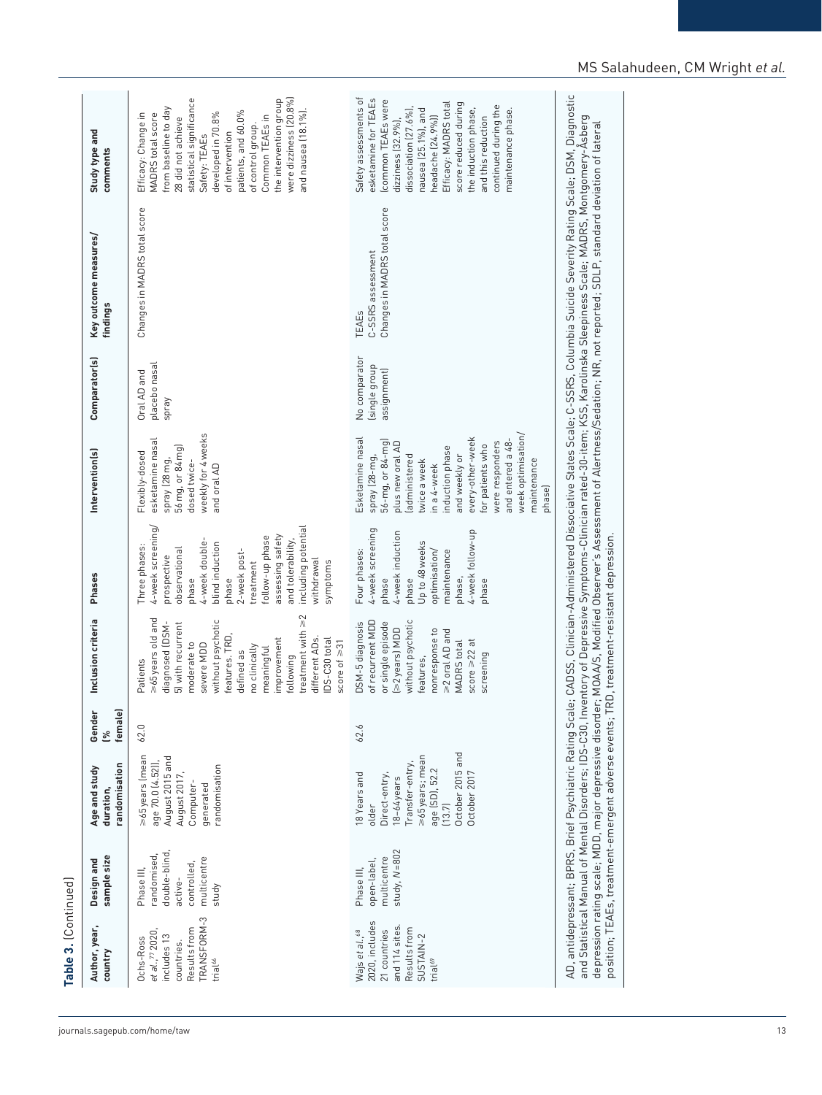| continued during the<br>from baseline to day<br>the induction phase,<br>dissociation (27.6%)<br>and nausea (18.1%).<br>nausea (25.1%), and<br>maintenance phase.<br>patients, and 60.0%<br>developed in 70.8%<br>Efficacy: Change in<br>MADRS total score<br>Common TEAEs in<br>28 did not achieve<br>headache (24.9%))<br>and this reduction<br>dizziness $(32.9\%)$ ,<br>of control group.<br>of intervention<br>Safety: TEAEs<br>Changes in MADRS total score<br>Changes in MADRS total score<br>C-SSRS assessment<br>TEAEs<br>No comparator<br>placebo nasal<br>(single group<br>assignment)<br>Oral AD and<br>Spray<br>weekly for 4 weeks<br>week optimisation/<br>every-other-week<br>Esketamine nasal<br>esketamine nasal<br>and entered a 48-<br>56-mg, or 84-mg)<br>were responders<br>plus new oral AD<br>for patients who<br>56 mg, or 84 mg)<br>induction phase<br>Flexibly-dosed<br>and weekly or<br>administered<br>spray (28-mg,<br>spray (28 mg,<br>maintenance<br>twice a week<br>dosed twice-<br>and oral AD<br>in a 4-week<br>phase)<br>4-week screening/<br>including potential<br>4-week screening<br>4-week follow-up<br>4-week induction<br>assessing safety<br>follow-up phase<br>and tolerability,<br>4-week double<br>Up to 48 weeks<br>blind induction<br>Three phases:<br>observational<br>Four phases:<br>optimisation/<br>maintenance<br>2-week post-<br>prospective<br>withdrawal<br>symptoms<br>treatment<br>phase,<br>phase<br>phase<br>phase<br>phase<br>phase<br>treatment with $\geq$ 2<br>>65years old and<br>without psychotic<br>of recurrent MDD<br>or single episode<br>without psychotic<br>DSM-5 diagnosis<br>5) with recurrent<br>diagnosed (DSM-<br>>2years) MDD<br>nonresponse to<br>>2 oral AD and<br>features. TRD,<br>DS-C30 total<br>improvement<br>different ADs.<br>score $\geq 22$ at<br><b>MADRS</b> total<br>score of $\geq 31$<br>moderate to<br>severe MDD<br>no clinically<br>meaningful<br>defined as<br>screening<br>following<br>features,<br>Patients<br>62.0<br>62.6<br>October 2015 and<br>October 2017<br>s65years (mean<br>>65years; mean<br>August 2015 and<br>age 70.0 (4.52)),<br>Transfer-entry,<br>randomisation<br>age (SD), 52.2<br>August 2017,<br>18 Years and<br>Direct-entry,<br>18-64 years<br>Computer-<br>generated<br>older<br>(13.7)<br>study, $N = 802$<br>double-blind<br>randomised<br>multicentre<br>multicentre<br>open-label,<br>controlled,<br>Phase III,<br>Phase III,<br>active-<br>study<br>TRANSFORM-3<br>2020, includes<br>and 114 sites<br>Results from<br>Results from<br>Wajs et al., <sup>68</sup><br>21 countries<br>et al., <sup>77</sup> 2020<br>includes 13<br>SUSTAIN-2<br>Ochs-Ross<br>countries.<br>trial <sup>66</sup><br>trial <sup>69</sup> | Author, year,<br>country | sample size<br>Design and | randomisation<br>Age and study<br>duration, | female)<br>Gender<br>లి | Inclusion criteria | Phases | Intervention(s) | Comparator(s) | Key outcome measures<br>findings | Study type and<br>comments                                                                                           |
|---------------------------------------------------------------------------------------------------------------------------------------------------------------------------------------------------------------------------------------------------------------------------------------------------------------------------------------------------------------------------------------------------------------------------------------------------------------------------------------------------------------------------------------------------------------------------------------------------------------------------------------------------------------------------------------------------------------------------------------------------------------------------------------------------------------------------------------------------------------------------------------------------------------------------------------------------------------------------------------------------------------------------------------------------------------------------------------------------------------------------------------------------------------------------------------------------------------------------------------------------------------------------------------------------------------------------------------------------------------------------------------------------------------------------------------------------------------------------------------------------------------------------------------------------------------------------------------------------------------------------------------------------------------------------------------------------------------------------------------------------------------------------------------------------------------------------------------------------------------------------------------------------------------------------------------------------------------------------------------------------------------------------------------------------------------------------------------------------------------------------------------------------------------------------------------------------------------------------------------------------------------------------------------------------------------------------------------------------------------------------------------------------------------------------------------------------------------------------------------------------------------------------------------------------------------------------------------------------------------------------------------------------------------------------------------------------------------------------------------------------------|--------------------------|---------------------------|---------------------------------------------|-------------------------|--------------------|--------|-----------------|---------------|----------------------------------|----------------------------------------------------------------------------------------------------------------------|
|                                                                                                                                                                                                                                                                                                                                                                                                                                                                                                                                                                                                                                                                                                                                                                                                                                                                                                                                                                                                                                                                                                                                                                                                                                                                                                                                                                                                                                                                                                                                                                                                                                                                                                                                                                                                                                                                                                                                                                                                                                                                                                                                                                                                                                                                                                                                                                                                                                                                                                                                                                                                                                                                                                                                                         |                          |                           |                                             |                         |                    |        |                 |               |                                  | were dizziness (20.8%)<br>the intervention group<br>statistical significance                                         |
|                                                                                                                                                                                                                                                                                                                                                                                                                                                                                                                                                                                                                                                                                                                                                                                                                                                                                                                                                                                                                                                                                                                                                                                                                                                                                                                                                                                                                                                                                                                                                                                                                                                                                                                                                                                                                                                                                                                                                                                                                                                                                                                                                                                                                                                                                                                                                                                                                                                                                                                                                                                                                                                                                                                                                         |                          |                           |                                             |                         |                    |        |                 |               |                                  | Safety assessments of<br>esketamine for TEAEs<br>(common TEAEs were<br>Efficacy: MADRS total<br>score reduced during |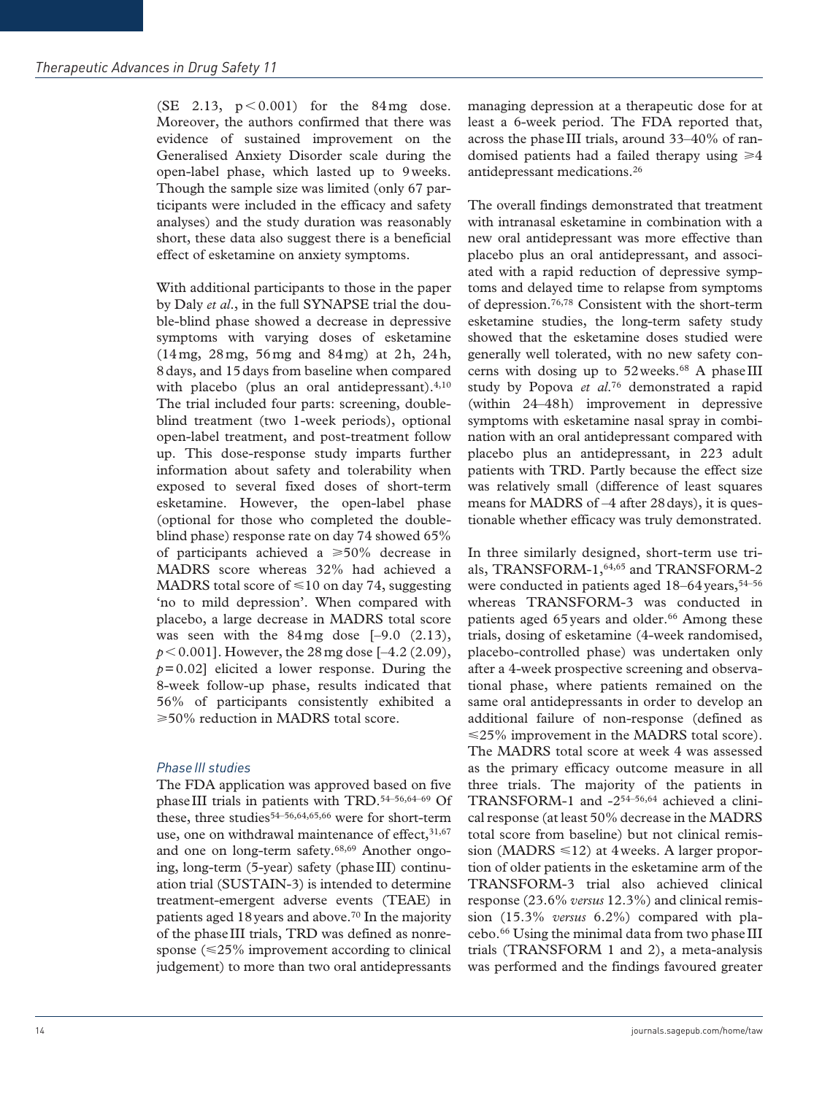(SE 2.13,  $p < 0.001$ ) for the 84mg dose. Moreover, the authors confirmed that there was evidence of sustained improvement on the Generalised Anxiety Disorder scale during the open-label phase, which lasted up to 9weeks. Though the sample size was limited (only 67 participants were included in the efficacy and safety analyses) and the study duration was reasonably short, these data also suggest there is a beneficial effect of esketamine on anxiety symptoms.

With additional participants to those in the paper by Daly *et al*., in the full SYNAPSE trial the double-blind phase showed a decrease in depressive symptoms with varying doses of esketamine (14mg, 28mg, 56mg and 84mg) at 2h, 24h, 8days, and 15days from baseline when compared with placebo (plus an oral antidepressant).<sup>4,10</sup> The trial included four parts: screening, doubleblind treatment (two 1-week periods), optional open-label treatment, and post-treatment follow up. This dose-response study imparts further information about safety and tolerability when exposed to several fixed doses of short-term esketamine. However, the open-label phase (optional for those who completed the doubleblind phase) response rate on day 74 showed 65% of participants achieved a  $\geq 50\%$  decrease in MADRS score whereas 32% had achieved a MADRS total score of  $\leq 10$  on day 74, suggesting 'no to mild depression'. When compared with placebo, a large decrease in MADRS total score was seen with the  $84 \text{ mg}$  dose  $[-9.0 \ (2.13)]$ ,  $p < 0.001$ ]. However, the 28 mg dose [-4.2 (2.09),  $p=0.02$ ] elicited a lower response. During the 8-week follow-up phase, results indicated that 56% of participants consistently exhibited a  $\geq$ 50% reduction in MADRS total score.

## **Phase III studies**

The FDA application was approved based on five phaseIII trials in patients with TRD.54–56,64–69 Of these, three studies<sup>54–56,64,65,66</sup> were for short-term use, one on withdrawal maintenance of effect,  $31,67$ and one on long-term safety.68,69 Another ongoing, long-term (5-year) safety (phaseIII) continuation trial (SUSTAIN-3) is intended to determine treatment-emergent adverse events (TEAE) in patients aged 18 years and above.<sup>70</sup> In the majority of the phaseIII trials, TRD was defined as nonresponse  $(\leq 25\%$  improvement according to clinical judgement) to more than two oral antidepressants

managing depression at a therapeutic dose for at least a 6-week period. The FDA reported that, across the phaseIII trials, around 33–40% of randomised patients had a failed therapy using  $\geq 4$ antidepressant medications.26

The overall findings demonstrated that treatment with intranasal esketamine in combination with a new oral antidepressant was more effective than placebo plus an oral antidepressant, and associated with a rapid reduction of depressive symptoms and delayed time to relapse from symptoms of depression.76,78 Consistent with the short-term esketamine studies, the long-term safety study showed that the esketamine doses studied were generally well tolerated, with no new safety concerns with dosing up to 52 weeks.<sup>68</sup> A phase III study by Popova *et al*.76 demonstrated a rapid (within 24–48h) improvement in depressive symptoms with esketamine nasal spray in combination with an oral antidepressant compared with placebo plus an antidepressant, in 223 adult patients with TRD. Partly because the effect size was relatively small (difference of least squares means for MADRS of –4 after 28days), it is questionable whether efficacy was truly demonstrated.

In three similarly designed, short-term use trials, TRANSFORM-1,64,65 and TRANSFORM-2 were conducted in patients aged  $18-64$  years,  $54-56$ whereas TRANSFORM-3 was conducted in patients aged 65 years and older.<sup>66</sup> Among these trials, dosing of esketamine (4-week randomised, placebo-controlled phase) was undertaken only after a 4-week prospective screening and observational phase, where patients remained on the same oral antidepressants in order to develop an additional failure of non-response (defined as  $\leq$ 25% improvement in the MADRS total score). The MADRS total score at week 4 was assessed as the primary efficacy outcome measure in all three trials. The majority of the patients in TRANSFORM-1 and -254–56,64 achieved a clinical response (at least 50% decrease in the MADRS total score from baseline) but not clinical remission (MADRS  $\leq 12$ ) at 4 weeks. A larger proportion of older patients in the esketamine arm of the TRANSFORM-3 trial also achieved clinical response (23.6% *versus* 12.3%) and clinical remission (15.3% *versus* 6.2%) compared with placebo.66 Using the minimal data from two phase III trials (TRANSFORM 1 and 2), a meta-analysis was performed and the findings favoured greater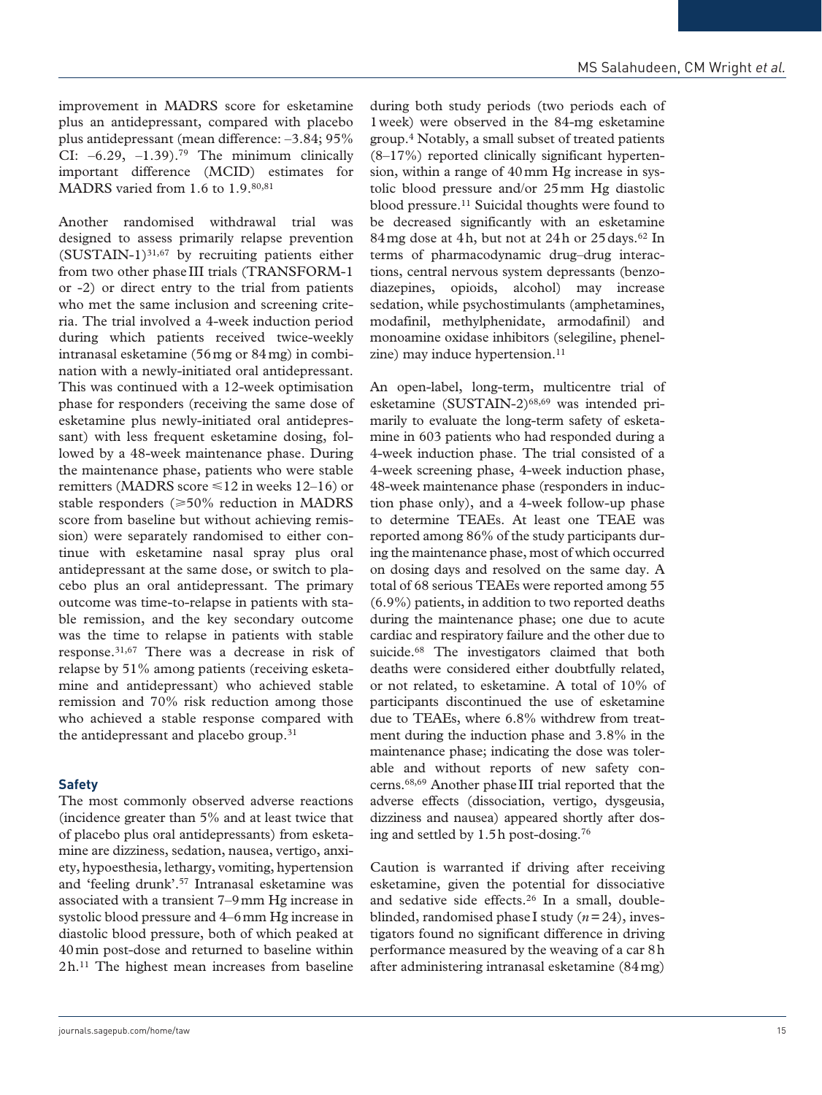improvement in MADRS score for esketamine plus an antidepressant, compared with placebo plus antidepressant (mean difference: –3.84; 95% CI:  $-6.29$ ,  $-1.39$ ).<sup>79</sup> The minimum clinically important difference (MCID) estimates for MADRS varied from 1.6 to 1.9.80,81

Another randomised withdrawal trial was designed to assess primarily relapse prevention  $(SUSTAIN-1)^{31,67}$  by recruiting patients either from two other phase III trials (TRANSFORM-1 or -2) or direct entry to the trial from patients who met the same inclusion and screening criteria. The trial involved a 4-week induction period during which patients received twice-weekly intranasal esketamine (56mg or 84mg) in combination with a newly-initiated oral antidepressant. This was continued with a 12-week optimisation phase for responders (receiving the same dose of esketamine plus newly-initiated oral antidepressant) with less frequent esketamine dosing, followed by a 48-week maintenance phase. During the maintenance phase, patients who were stable remitters (MADRS score  $\leq 12$  in weeks 12–16) or stable responders  $(\geq 50\%$  reduction in MADRS score from baseline but without achieving remission) were separately randomised to either continue with esketamine nasal spray plus oral antidepressant at the same dose, or switch to placebo plus an oral antidepressant. The primary outcome was time-to-relapse in patients with stable remission, and the key secondary outcome was the time to relapse in patients with stable response.31,67 There was a decrease in risk of relapse by 51% among patients (receiving esketamine and antidepressant) who achieved stable remission and 70% risk reduction among those who achieved a stable response compared with the antidepressant and placebo group.<sup>31</sup>

## **Safety**

The most commonly observed adverse reactions (incidence greater than 5% and at least twice that of placebo plus oral antidepressants) from esketamine are dizziness, sedation, nausea, vertigo, anxiety, hypoesthesia, lethargy, vomiting, hypertension and 'feeling drunk'.57 Intranasal esketamine was associated with a transient 7–9mm Hg increase in systolic blood pressure and 4–6mm Hg increase in diastolic blood pressure, both of which peaked at 40min post-dose and returned to baseline within 2h.11 The highest mean increases from baseline

during both study periods (two periods each of 1week) were observed in the 84-mg esketamine group.4 Notably, a small subset of treated patients (8–17%) reported clinically significant hypertension, within a range of 40mm Hg increase in systolic blood pressure and/or 25mm Hg diastolic blood pressure.11 Suicidal thoughts were found to be decreased significantly with an esketamine 84mg dose at 4h, but not at 24h or 25 days.<sup>62</sup> In terms of pharmacodynamic drug–drug interactions, central nervous system depressants (benzodiazepines, opioids, alcohol) may increase sedation, while psychostimulants (amphetamines, modafinil, methylphenidate, armodafinil) and monoamine oxidase inhibitors (selegiline, phenelzine) may induce hypertension.<sup>11</sup>

An open-label, long-term, multicentre trial of esketamine (SUSTAIN-2)<sup>68,69</sup> was intended primarily to evaluate the long-term safety of esketamine in 603 patients who had responded during a 4-week induction phase. The trial consisted of a 4-week screening phase, 4-week induction phase, 48-week maintenance phase (responders in induction phase only), and a 4-week follow-up phase to determine TEAEs. At least one TEAE was reported among 86% of the study participants during the maintenance phase, most of which occurred on dosing days and resolved on the same day. A total of 68 serious TEAEs were reported among 55 (6.9%) patients, in addition to two reported deaths during the maintenance phase; one due to acute cardiac and respiratory failure and the other due to suicide.68 The investigators claimed that both deaths were considered either doubtfully related, or not related, to esketamine. A total of 10% of participants discontinued the use of esketamine due to TEAEs, where 6.8% withdrew from treatment during the induction phase and 3.8% in the maintenance phase; indicating the dose was tolerable and without reports of new safety concerns.68,69 Another phaseIII trial reported that the adverse effects (dissociation, vertigo, dysgeusia, dizziness and nausea) appeared shortly after dosing and settled by 1.5h post-dosing.76

Caution is warranted if driving after receiving esketamine, given the potential for dissociative and sedative side effects.<sup>26</sup> In a small, doubleblinded, randomised phase I study (*n*=24), investigators found no significant difference in driving performance measured by the weaving of a car 8h after administering intranasal esketamine (84mg)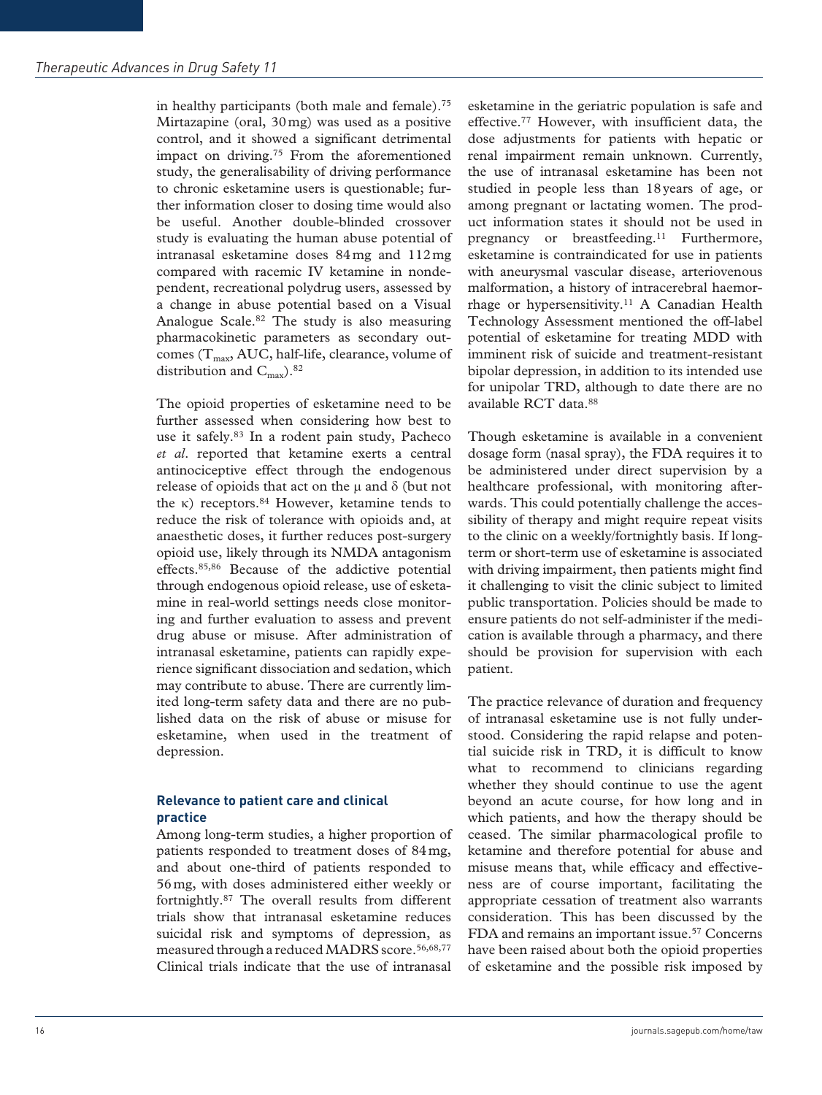in healthy participants (both male and female).75 Mirtazapine (oral, 30mg) was used as a positive control, and it showed a significant detrimental impact on driving.<sup>75</sup> From the aforementioned study, the generalisability of driving performance to chronic esketamine users is questionable; further information closer to dosing time would also be useful. Another double-blinded crossover study is evaluating the human abuse potential of intranasal esketamine doses 84mg and 112mg compared with racemic IV ketamine in nondependent, recreational polydrug users, assessed by a change in abuse potential based on a Visual Analogue Scale.82 The study is also measuring pharmacokinetic parameters as secondary outcomes ( $T_{\text{max}}$ , AUC, half-life, clearance, volume of distribution and  $C_{\text{max}}$ ).<sup>82</sup>

The opioid properties of esketamine need to be further assessed when considering how best to use it safely.83 In a rodent pain study, Pacheco *et al*. reported that ketamine exerts a central antinociceptive effect through the endogenous release of opioids that act on the  $\mu$  and  $\delta$  (but not the κ) receptors.<sup>84</sup> However, ketamine tends to reduce the risk of tolerance with opioids and, at anaesthetic doses, it further reduces post-surgery opioid use, likely through its NMDA antagonism effects.85,86 Because of the addictive potential through endogenous opioid release, use of esketamine in real-world settings needs close monitoring and further evaluation to assess and prevent drug abuse or misuse. After administration of intranasal esketamine, patients can rapidly experience significant dissociation and sedation, which may contribute to abuse. There are currently limited long-term safety data and there are no published data on the risk of abuse or misuse for esketamine, when used in the treatment of depression.

#### **Relevance to patient care and clinical practice**

Among long-term studies, a higher proportion of patients responded to treatment doses of 84mg, and about one-third of patients responded to 56mg, with doses administered either weekly or fortnightly.87 The overall results from different trials show that intranasal esketamine reduces suicidal risk and symptoms of depression, as measured through a reduced MADRS score.<sup>56,68,77</sup> Clinical trials indicate that the use of intranasal

esketamine in the geriatric population is safe and effective.77 However, with insufficient data, the dose adjustments for patients with hepatic or renal impairment remain unknown. Currently, the use of intranasal esketamine has been not studied in people less than 18years of age, or among pregnant or lactating women. The product information states it should not be used in pregnancy or breastfeeding.<sup>11</sup> Furthermore, esketamine is contraindicated for use in patients with aneurysmal vascular disease, arteriovenous malformation, a history of intracerebral haemorrhage or hypersensitivity.11 A Canadian Health Technology Assessment mentioned the off-label potential of esketamine for treating MDD with imminent risk of suicide and treatment-resistant bipolar depression, in addition to its intended use for unipolar TRD, although to date there are no available RCT data.88

Though esketamine is available in a convenient dosage form (nasal spray), the FDA requires it to be administered under direct supervision by a healthcare professional, with monitoring afterwards. This could potentially challenge the accessibility of therapy and might require repeat visits to the clinic on a weekly/fortnightly basis. If longterm or short-term use of esketamine is associated with driving impairment, then patients might find it challenging to visit the clinic subject to limited public transportation. Policies should be made to ensure patients do not self-administer if the medication is available through a pharmacy, and there should be provision for supervision with each patient.

The practice relevance of duration and frequency of intranasal esketamine use is not fully understood. Considering the rapid relapse and potential suicide risk in TRD, it is difficult to know what to recommend to clinicians regarding whether they should continue to use the agent beyond an acute course, for how long and in which patients, and how the therapy should be ceased. The similar pharmacological profile to ketamine and therefore potential for abuse and misuse means that, while efficacy and effectiveness are of course important, facilitating the appropriate cessation of treatment also warrants consideration. This has been discussed by the FDA and remains an important issue.<sup>57</sup> Concerns have been raised about both the opioid properties of esketamine and the possible risk imposed by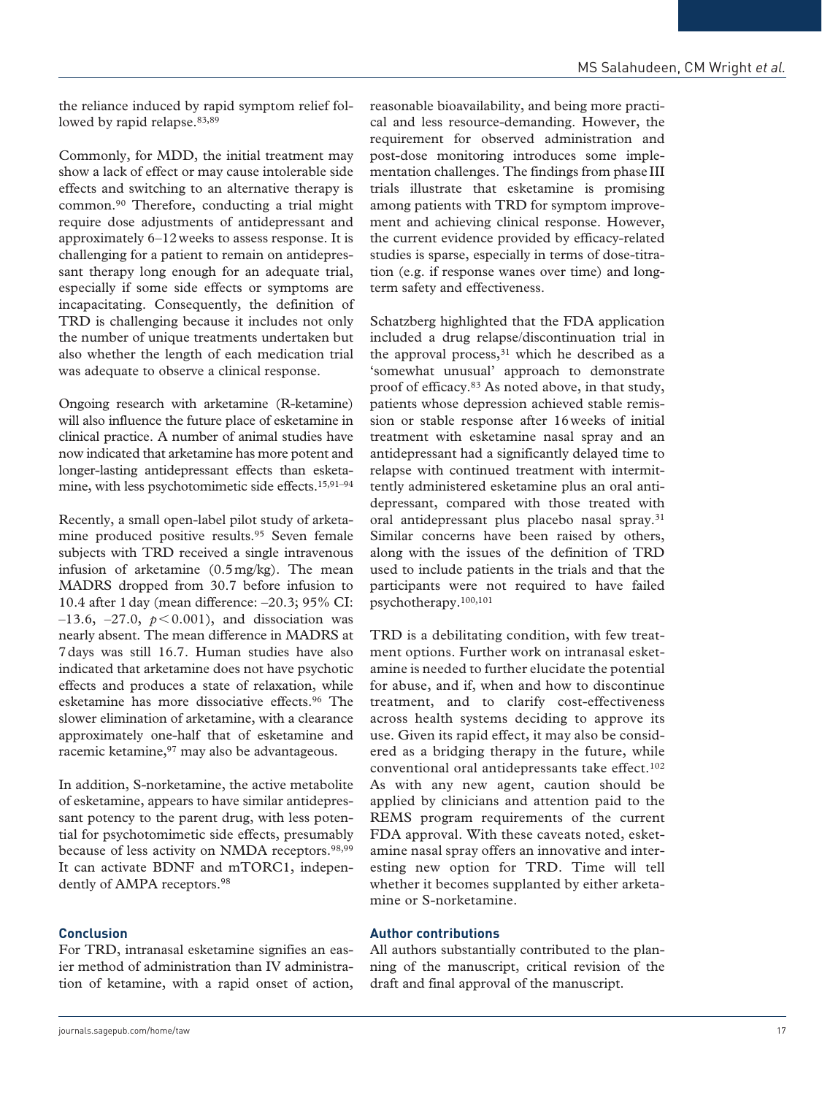the reliance induced by rapid symptom relief followed by rapid relapse.<sup>83,89</sup>

Commonly, for MDD, the initial treatment may show a lack of effect or may cause intolerable side effects and switching to an alternative therapy is common.90 Therefore, conducting a trial might require dose adjustments of antidepressant and approximately 6–12weeks to assess response. It is challenging for a patient to remain on antidepressant therapy long enough for an adequate trial, especially if some side effects or symptoms are incapacitating. Consequently, the definition of TRD is challenging because it includes not only the number of unique treatments undertaken but also whether the length of each medication trial was adequate to observe a clinical response.

Ongoing research with arketamine (R-ketamine) will also influence the future place of esketamine in clinical practice. A number of animal studies have now indicated that arketamine has more potent and longer-lasting antidepressant effects than esketamine, with less psychotomimetic side effects.15,91–94

Recently, a small open-label pilot study of arketamine produced positive results.95 Seven female subjects with TRD received a single intravenous infusion of arketamine (0.5mg/kg). The mean MADRS dropped from 30.7 before infusion to 10.4 after 1day (mean difference: –20.3; 95% CI:  $-13.6, -27.0, p < 0.001$ , and dissociation was nearly absent. The mean difference in MADRS at 7days was still 16.7. Human studies have also indicated that arketamine does not have psychotic effects and produces a state of relaxation, while esketamine has more dissociative effects.96 The slower elimination of arketamine, with a clearance approximately one-half that of esketamine and racemic ketamine, <sup>97</sup> may also be advantageous.

In addition, S-norketamine, the active metabolite of esketamine, appears to have similar antidepressant potency to the parent drug, with less potential for psychotomimetic side effects, presumably because of less activity on NMDA receptors.<sup>98,99</sup> It can activate BDNF and mTORC1, independently of AMPA receptors.<sup>98</sup>

## **Conclusion**

For TRD, intranasal esketamine signifies an easier method of administration than IV administration of ketamine, with a rapid onset of action, reasonable bioavailability, and being more practical and less resource-demanding. However, the requirement for observed administration and post-dose monitoring introduces some implementation challenges. The findings from phase III trials illustrate that esketamine is promising among patients with TRD for symptom improvement and achieving clinical response. However, the current evidence provided by efficacy-related studies is sparse, especially in terms of dose-titration (e.g. if response wanes over time) and longterm safety and effectiveness.

Schatzberg highlighted that the FDA application included a drug relapse/discontinuation trial in the approval process,<sup>31</sup> which he described as a 'somewhat unusual' approach to demonstrate proof of efficacy.83 As noted above, in that study, patients whose depression achieved stable remission or stable response after 16weeks of initial treatment with esketamine nasal spray and an antidepressant had a significantly delayed time to relapse with continued treatment with intermittently administered esketamine plus an oral antidepressant, compared with those treated with oral antidepressant plus placebo nasal spray.<sup>31</sup> Similar concerns have been raised by others, along with the issues of the definition of TRD used to include patients in the trials and that the participants were not required to have failed psychotherapy.100,101

TRD is a debilitating condition, with few treatment options. Further work on intranasal esketamine is needed to further elucidate the potential for abuse, and if, when and how to discontinue treatment, and to clarify cost-effectiveness across health systems deciding to approve its use. Given its rapid effect, it may also be considered as a bridging therapy in the future, while conventional oral antidepressants take effect.<sup>102</sup> As with any new agent, caution should be applied by clinicians and attention paid to the REMS program requirements of the current FDA approval. With these caveats noted, esketamine nasal spray offers an innovative and interesting new option for TRD. Time will tell whether it becomes supplanted by either arketamine or S-norketamine.

#### **Author contributions**

All authors substantially contributed to the planning of the manuscript, critical revision of the draft and final approval of the manuscript.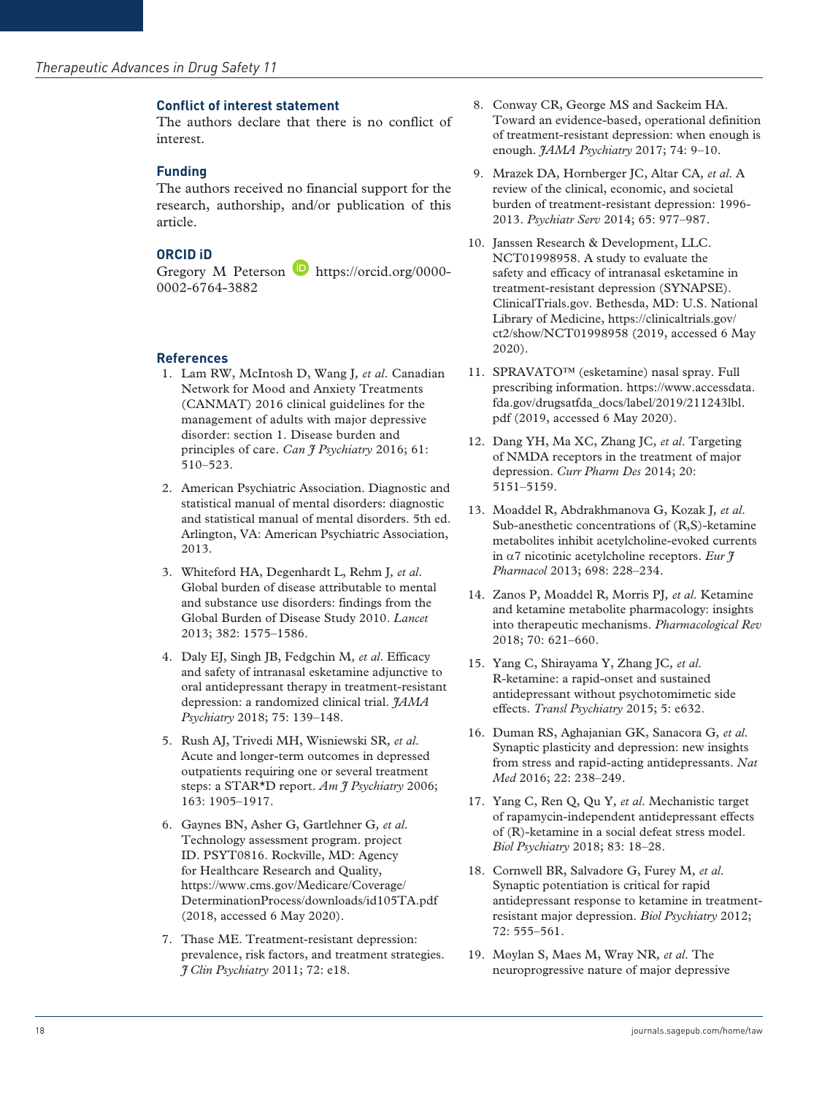#### **Conflict of interest statement**

The authors declare that there is no conflict of interest.

#### **Funding**

The authors received no financial support for the research, authorship, and/or publication of this article.

#### **ORCID iD**

Gregory M Peterson **[https://orcid.org/0000-](https://orcid.org/0000-0002-6764-3882)** [0002-6764-3882](https://orcid.org/0000-0002-6764-3882)

#### **References**

- 1. Lam RW, McIntosh D, Wang J*, et al*. Canadian Network for Mood and Anxiety Treatments (CANMAT) 2016 clinical guidelines for the management of adults with major depressive disorder: section 1. Disease burden and principles of care. *Can J Psychiatry* 2016; 61: 510–523.
- 2. American Psychiatric Association. Diagnostic and statistical manual of mental disorders: diagnostic and statistical manual of mental disorders. 5th ed. Arlington, VA: American Psychiatric Association, 2013.
- 3. Whiteford HA, Degenhardt L, Rehm J*, et al*. Global burden of disease attributable to mental and substance use disorders: findings from the Global Burden of Disease Study 2010. *Lancet* 2013; 382: 1575–1586.
- 4. Daly EJ, Singh JB, Fedgchin M*, et al*. Efficacy and safety of intranasal esketamine adjunctive to oral antidepressant therapy in treatment-resistant depression: a randomized clinical trial. *JAMA Psychiatry* 2018; 75: 139–148.
- 5. Rush AJ, Trivedi MH, Wisniewski SR*, et al*. Acute and longer-term outcomes in depressed outpatients requiring one or several treatment steps: a STAR\*D report. *Am J Psychiatry* 2006; 163: 1905–1917.
- 6. Gaynes BN, Asher G, Gartlehner G*, et al*. Technology assessment program. project ID. PSYT0816. Rockville, MD: Agency for Healthcare Research and Quality, [https://www.cms.gov/Medicare/Coverage/](https://www.cms.gov/Medicare/Coverage/DeterminationProcess/downloads/id105TA.pdf) [DeterminationProcess/downloads/id105TA.pdf](https://www.cms.gov/Medicare/Coverage/DeterminationProcess/downloads/id105TA.pdf) (2018, accessed 6 May 2020).
- 7. Thase ME. Treatment-resistant depression: prevalence, risk factors, and treatment strategies. *J Clin Psychiatry* 2011; 72: e18.
- 8. Conway CR, George MS and Sackeim HA. Toward an evidence-based, operational definition of treatment-resistant depression: when enough is enough. *JAMA Psychiatry* 2017; 74: 9–10.
- 9. Mrazek DA, Hornberger JC, Altar CA*, et al*. A review of the clinical, economic, and societal burden of treatment-resistant depression: 1996- 2013. *Psychiatr Serv* 2014; 65: 977–987.
- 10. Janssen Research & Development, LLC. NCT01998958. A study to evaluate the safety and efficacy of intranasal esketamine in treatment-resistant depression (SYNAPSE). ClinicalTrials.gov. Bethesda, MD: U.S. National Library of Medicine, [https://clinicaltrials.gov/](https://clinicaltrials.gov/ct2/show/NCT01998958) [ct2/show/NCT01998958](https://clinicaltrials.gov/ct2/show/NCT01998958) (2019, accessed 6 May 2020).
- 11. SPRAVATO™ (esketamine) nasal spray. Full prescribing information. [https://www.accessdata.](https://www.accessdata.fda.gov/drugsatfda_docs/label/2019/211243lbl.pdf) [fda.gov/drugsatfda\\_docs/label/2019/211243lbl.](https://www.accessdata.fda.gov/drugsatfda_docs/label/2019/211243lbl.pdf) [pdf](https://www.accessdata.fda.gov/drugsatfda_docs/label/2019/211243lbl.pdf) (2019, accessed 6 May 2020).
- 12. Dang YH, Ma XC, Zhang JC*, et al*. Targeting of NMDA receptors in the treatment of major depression. *Curr Pharm Des* 2014; 20: 5151–5159.
- 13. Moaddel R, Abdrakhmanova G, Kozak J*, et al*. Sub-anesthetic concentrations of (R,S)-ketamine metabolites inhibit acetylcholine-evoked currents in α7 nicotinic acetylcholine receptors. *Eur J Pharmacol* 2013; 698: 228–234.
- 14. Zanos P, Moaddel R, Morris PJ*, et al*. Ketamine and ketamine metabolite pharmacology: insights into therapeutic mechanisms. *Pharmacological Rev* 2018; 70: 621–660.
- 15. Yang C, Shirayama Y, Zhang JC*, et al*. R-ketamine: a rapid-onset and sustained antidepressant without psychotomimetic side effects. *Transl Psychiatry* 2015; 5: e632.
- 16. Duman RS, Aghajanian GK, Sanacora G*, et al*. Synaptic plasticity and depression: new insights from stress and rapid-acting antidepressants. *Nat Med* 2016; 22: 238–249.
- 17. Yang C, Ren Q, Qu Y*, et al*. Mechanistic target of rapamycin-independent antidepressant effects of (R)-ketamine in a social defeat stress model. *Biol Psychiatry* 2018; 83: 18–28.
- 18. Cornwell BR, Salvadore G, Furey M*, et al*. Synaptic potentiation is critical for rapid antidepressant response to ketamine in treatmentresistant major depression. *Biol Psychiatry* 2012; 72: 555–561.
- 19. Moylan S, Maes M, Wray NR*, et al*. The neuroprogressive nature of major depressive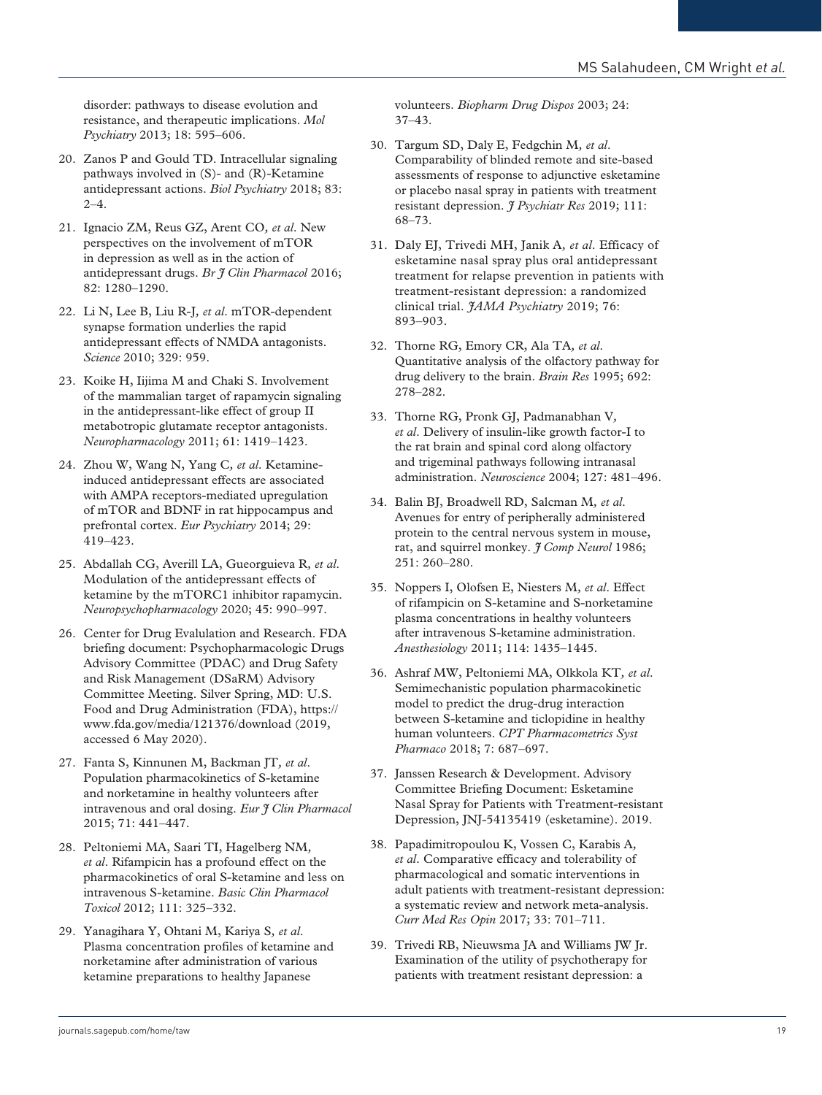disorder: pathways to disease evolution and resistance, and therapeutic implications. *Mol Psychiatry* 2013; 18: 595–606.

- 20. Zanos P and Gould TD. Intracellular signaling pathways involved in (S)- and (R)-Ketamine antidepressant actions. *Biol Psychiatry* 2018; 83:  $2 - 4$ .
- 21. Ignacio ZM, Reus GZ, Arent CO*, et al*. New perspectives on the involvement of mTOR in depression as well as in the action of antidepressant drugs. *Br J Clin Pharmacol* 2016; 82: 1280–1290.
- 22. Li N, Lee B, Liu R-J*, et al*. mTOR-dependent synapse formation underlies the rapid antidepressant effects of NMDA antagonists. *Science* 2010; 329: 959.
- 23. Koike H, Iijima M and Chaki S. Involvement of the mammalian target of rapamycin signaling in the antidepressant-like effect of group II metabotropic glutamate receptor antagonists. *Neuropharmacology* 2011; 61: 1419–1423.
- 24. Zhou W, Wang N, Yang C*, et al*. Ketamineinduced antidepressant effects are associated with AMPA receptors-mediated upregulation of mTOR and BDNF in rat hippocampus and prefrontal cortex. *Eur Psychiatry* 2014; 29: 419–423.
- 25. Abdallah CG, Averill LA, Gueorguieva R*, et al*. Modulation of the antidepressant effects of ketamine by the mTORC1 inhibitor rapamycin. *Neuropsychopharmacology* 2020; 45: 990–997.
- 26. Center for Drug Evalulation and Research. FDA briefing document: Psychopharmacologic Drugs Advisory Committee (PDAC) and Drug Safety and Risk Management (DSaRM) Advisory Committee Meeting. Silver Spring, MD: U.S. Food and Drug Administration (FDA), [https://](https://www.fda.gov/media/121376/download) [www.fda.gov/media/121376/download](https://www.fda.gov/media/121376/download) (2019, accessed 6 May 2020).
- 27. Fanta S, Kinnunen M, Backman JT*, et al*. Population pharmacokinetics of S-ketamine and norketamine in healthy volunteers after intravenous and oral dosing. *Eur J Clin Pharmacol* 2015; 71: 441–447.
- 28. Peltoniemi MA, Saari TI, Hagelberg NM*, et al*. Rifampicin has a profound effect on the pharmacokinetics of oral S-ketamine and less on intravenous S-ketamine. *Basic Clin Pharmacol Toxicol* 2012; 111: 325–332.
- 29. Yanagihara Y, Ohtani M, Kariya S*, et al*. Plasma concentration profiles of ketamine and norketamine after administration of various ketamine preparations to healthy Japanese

volunteers. *Biopharm Drug Dispos* 2003; 24: 37–43.

- 30. Targum SD, Daly E, Fedgchin M*, et al*. Comparability of blinded remote and site-based assessments of response to adjunctive esketamine or placebo nasal spray in patients with treatment resistant depression. *J Psychiatr Res* 2019; 111: 68–73.
- 31. Daly EJ, Trivedi MH, Janik A*, et al*. Efficacy of esketamine nasal spray plus oral antidepressant treatment for relapse prevention in patients with treatment-resistant depression: a randomized clinical trial. *JAMA Psychiatry* 2019; 76: 893–903.
- 32. Thorne RG, Emory CR, Ala TA*, et al*. Quantitative analysis of the olfactory pathway for drug delivery to the brain. *Brain Res* 1995; 692: 278–282.
- 33. Thorne RG, Pronk GJ, Padmanabhan V*, et al*. Delivery of insulin-like growth factor-I to the rat brain and spinal cord along olfactory and trigeminal pathways following intranasal administration. *Neuroscience* 2004; 127: 481–496.
- 34. Balin BJ, Broadwell RD, Salcman M*, et al*. Avenues for entry of peripherally administered protein to the central nervous system in mouse, rat, and squirrel monkey. *J Comp Neurol* 1986; 251: 260–280.
- 35. Noppers I, Olofsen E, Niesters M*, et al*. Effect of rifampicin on S-ketamine and S-norketamine plasma concentrations in healthy volunteers after intravenous S-ketamine administration. *Anesthesiology* 2011; 114: 1435–1445.
- 36. Ashraf MW, Peltoniemi MA, Olkkola KT*, et al*. Semimechanistic population pharmacokinetic model to predict the drug-drug interaction between S-ketamine and ticlopidine in healthy human volunteers. *CPT Pharmacometrics Syst Pharmaco* 2018; 7: 687–697.
- 37. Janssen Research & Development. Advisory Committee Briefing Document: Esketamine Nasal Spray for Patients with Treatment-resistant Depression, JNJ-54135419 (esketamine). 2019.
- 38. Papadimitropoulou K, Vossen C, Karabis A*, et al*. Comparative efficacy and tolerability of pharmacological and somatic interventions in adult patients with treatment-resistant depression: a systematic review and network meta-analysis. *Curr Med Res Opin* 2017; 33: 701–711.
- 39. Trivedi RB, Nieuwsma JA and Williams JW Jr. Examination of the utility of psychotherapy for patients with treatment resistant depression: a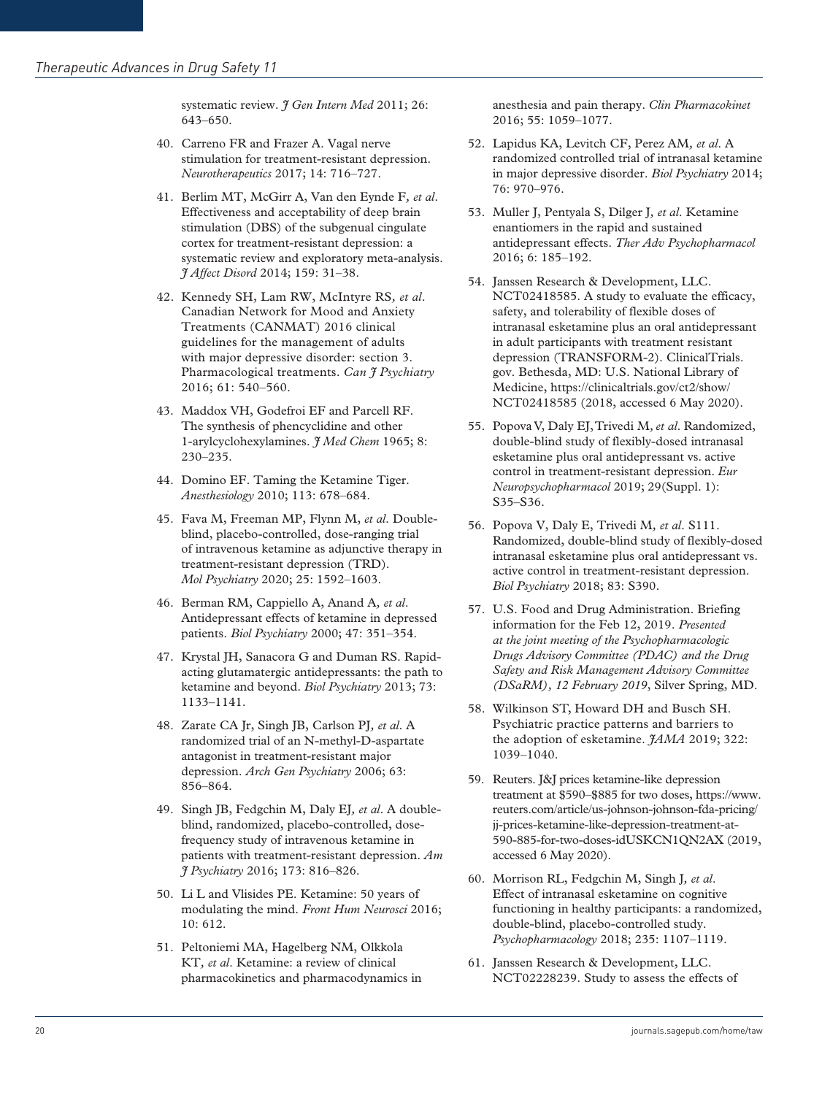systematic review. *I Gen Intern Med* 2011; 26: 643–650.

- 40. Carreno FR and Frazer A. Vagal nerve stimulation for treatment-resistant depression. *Neurotherapeutics* 2017; 14: 716–727.
- 41. Berlim MT, McGirr A, Van den Eynde F*, et al*. Effectiveness and acceptability of deep brain stimulation (DBS) of the subgenual cingulate cortex for treatment-resistant depression: a systematic review and exploratory meta-analysis. *J Affect Disord* 2014; 159: 31–38.
- 42. Kennedy SH, Lam RW, McIntyre RS*, et al*. Canadian Network for Mood and Anxiety Treatments (CANMAT) 2016 clinical guidelines for the management of adults with major depressive disorder: section 3. Pharmacological treatments. *Can J Psychiatry* 2016; 61: 540–560.
- 43. Maddox VH, Godefroi EF and Parcell RF. The synthesis of phencyclidine and other 1-arylcyclohexylamines. *J Med Chem* 1965; 8: 230–235.
- 44. Domino EF. Taming the Ketamine Tiger. *Anesthesiology* 2010; 113: 678–684.
- 45. Fava M, Freeman MP, Flynn M, *et al*. Doubleblind, placebo-controlled, dose-ranging trial of intravenous ketamine as adjunctive therapy in treatment-resistant depression (TRD). *Mol Psychiatry* 2020; 25: 1592–1603.
- 46. Berman RM, Cappiello A, Anand A*, et al*. Antidepressant effects of ketamine in depressed patients. *Biol Psychiatry* 2000; 47: 351–354.
- 47. Krystal JH, Sanacora G and Duman RS. Rapidacting glutamatergic antidepressants: the path to ketamine and beyond. *Biol Psychiatry* 2013; 73: 1133–1141.
- 48. Zarate CA Jr, Singh JB, Carlson PJ*, et al*. A randomized trial of an N-methyl-D-aspartate antagonist in treatment-resistant major depression. *Arch Gen Psychiatry* 2006; 63: 856–864.
- 49. Singh JB, Fedgchin M, Daly EJ*, et al*. A doubleblind, randomized, placebo-controlled, dosefrequency study of intravenous ketamine in patients with treatment-resistant depression. *Am J Psychiatry* 2016; 173: 816–826.
- 50. Li L and Vlisides PE. Ketamine: 50 years of modulating the mind. *Front Hum Neurosci* 2016; 10: 612.
- 51. Peltoniemi MA, Hagelberg NM, Olkkola KT*, et al*. Ketamine: a review of clinical pharmacokinetics and pharmacodynamics in

anesthesia and pain therapy. *Clin Pharmacokinet* 2016; 55: 1059–1077.

- 52. Lapidus KA, Levitch CF, Perez AM*, et al*. A randomized controlled trial of intranasal ketamine in major depressive disorder. *Biol Psychiatry* 2014; 76: 970–976.
- 53. Muller J, Pentyala S, Dilger J*, et al*. Ketamine enantiomers in the rapid and sustained antidepressant effects. *Ther Adv Psychopharmacol* 2016; 6: 185–192.
- 54. Janssen Research & Development, LLC. NCT02418585. A study to evaluate the efficacy, safety, and tolerability of flexible doses of intranasal esketamine plus an oral antidepressant in adult participants with treatment resistant depression (TRANSFORM-2). ClinicalTrials. gov. Bethesda, MD: U.S. National Library of Medicine,<https://clinicaltrials.gov/ct2/show/> NCT02418585 (2018, accessed 6 May 2020).
- 55. Popova V, Daly EJ, Trivedi M*, et al*. Randomized, double-blind study of flexibly-dosed intranasal esketamine plus oral antidepressant vs. active control in treatment-resistant depression. *Eur Neuropsychopharmacol* 2019; 29(Suppl. 1): S35–S36.
- 56. Popova V, Daly E, Trivedi M*, et al*. S111. Randomized, double-blind study of flexibly-dosed intranasal esketamine plus oral antidepressant vs. active control in treatment-resistant depression. *Biol Psychiatry* 2018; 83: S390.
- 57. U.S. Food and Drug Administration. Briefing information for the Feb 12, 2019. *Presented at the joint meeting of the Psychopharmacologic Drugs Advisory Committee (PDAC) and the Drug Safety and Risk Management Advisory Committee (DSaRM), 12 February 2019*, Silver Spring, MD.
- 58. Wilkinson ST, Howard DH and Busch SH. Psychiatric practice patterns and barriers to the adoption of esketamine. *JAMA* 2019; 322: 1039–1040.
- 59. Reuters. J&J prices ketamine-like depression treatment at \$590–\$885 for two doses, [https://www.](https://www.reuters.com/article/us-johnson-johnson-fda-pricing/jj-prices-ketamine-like-depression-treatment-at-590-885-for-two-doses-idUSKCN1QN2AX) [reuters.com/article/us-johnson-johnson-fda-pricing/](https://www.reuters.com/article/us-johnson-johnson-fda-pricing/jj-prices-ketamine-like-depression-treatment-at-590-885-for-two-doses-idUSKCN1QN2AX) [jj-prices-ketamine-like-depression-treatment-at-](https://www.reuters.com/article/us-johnson-johnson-fda-pricing/jj-prices-ketamine-like-depression-treatment-at-590-885-for-two-doses-idUSKCN1QN2AX)[590-885-for-two-doses-idUSKCN1QN2AX](https://www.reuters.com/article/us-johnson-johnson-fda-pricing/jj-prices-ketamine-like-depression-treatment-at-590-885-for-two-doses-idUSKCN1QN2AX) (2019, accessed 6 May 2020).
- 60. Morrison RL, Fedgchin M, Singh J*, et al*. Effect of intranasal esketamine on cognitive functioning in healthy participants: a randomized, double-blind, placebo-controlled study. *Psychopharmacology* 2018; 235: 1107–1119.
- 61. Janssen Research & Development, LLC. NCT02228239. Study to assess the effects of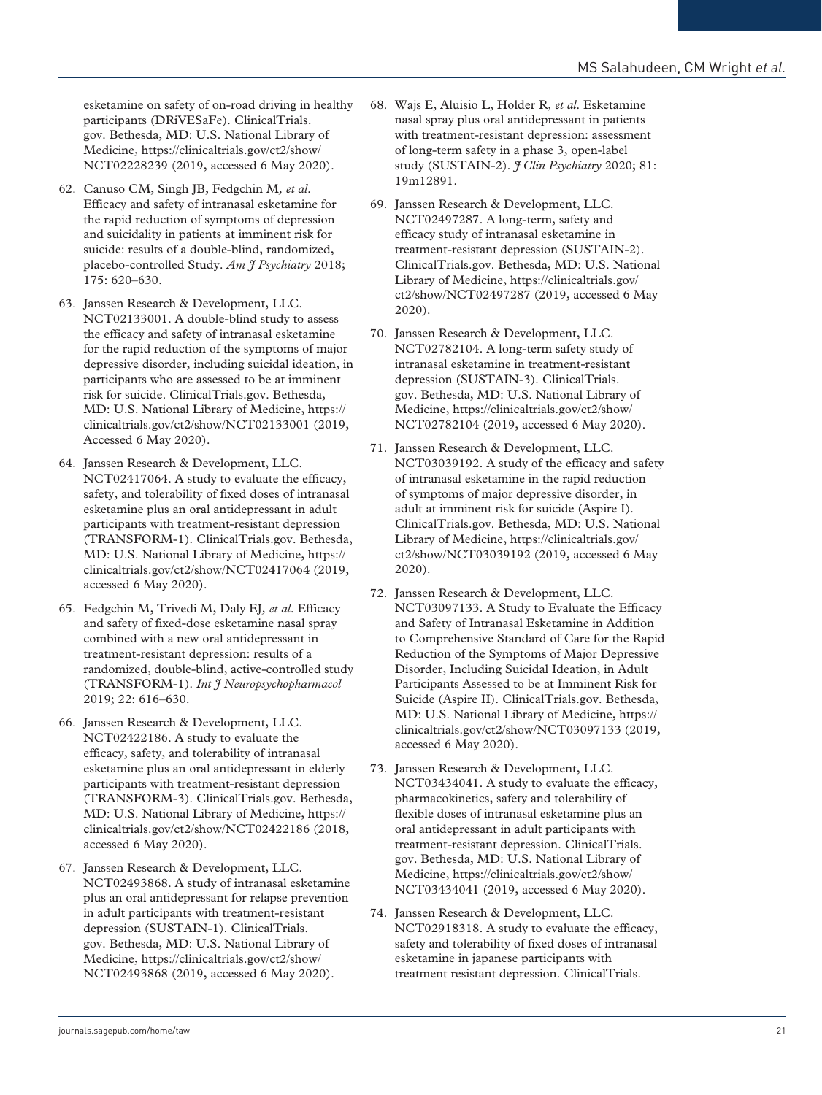esketamine on safety of on-road driving in healthy participants (DRiVESaFe). ClinicalTrials. gov. Bethesda, MD: U.S. National Library of Medicine, [https://clinicaltrials.gov/ct2/show/](https://clinicaltrials.gov/ct2/show/NCT02228239) [NCT02228239](https://clinicaltrials.gov/ct2/show/NCT02228239) (2019, accessed 6 May 2020).

- 62. Canuso CM, Singh JB, Fedgchin M*, et al*. Efficacy and safety of intranasal esketamine for the rapid reduction of symptoms of depression and suicidality in patients at imminent risk for suicide: results of a double-blind, randomized, placebo-controlled Study. *Am J Psychiatry* 2018; 175: 620–630.
- 63. Janssen Research & Development, LLC. NCT02133001. A double-blind study to assess the efficacy and safety of intranasal esketamine for the rapid reduction of the symptoms of major depressive disorder, including suicidal ideation, in participants who are assessed to be at imminent risk for suicide. ClinicalTrials.gov. Bethesda, MD: U.S. National Library of Medicine, [https://](https://clinicaltrials.gov/ct2/show/NCT02133001) [clinicaltrials.gov/ct2/show/NCT02133001](https://clinicaltrials.gov/ct2/show/NCT02133001) (2019, Accessed 6 May 2020).
- 64. Janssen Research & Development, LLC. NCT02417064. A study to evaluate the efficacy, safety, and tolerability of fixed doses of intranasal esketamine plus an oral antidepressant in adult participants with treatment-resistant depression (TRANSFORM-1). ClinicalTrials.gov. Bethesda, MD: U.S. National Library of Medicine, https:// clinicaltrials.gov/ct2/show/NCT02417064 (2019, accessed 6 May 2020).
- 65. Fedgchin M, Trivedi M, Daly EJ*, et al*. Efficacy and safety of fixed-dose esketamine nasal spray combined with a new oral antidepressant in treatment-resistant depression: results of a randomized, double-blind, active-controlled study (TRANSFORM-1). *Int J Neuropsychopharmacol* 2019; 22: 616–630.
- 66. Janssen Research & Development, LLC. NCT02422186. A study to evaluate the efficacy, safety, and tolerability of intranasal esketamine plus an oral antidepressant in elderly participants with treatment-resistant depression (TRANSFORM-3). ClinicalTrials.gov. Bethesda, MD: U.S. National Library of Medicine, [https://](https://clinicaltrials.gov/ct2/show/NCT02422186) [clinicaltrials.gov/ct2/show/NCT02422186](https://clinicaltrials.gov/ct2/show/NCT02422186) (2018, accessed 6 May 2020).
- 67. Janssen Research & Development, LLC. NCT02493868. A study of intranasal esketamine plus an oral antidepressant for relapse prevention in adult participants with treatment-resistant depression (SUSTAIN-1). ClinicalTrials. gov. Bethesda, MD: U.S. National Library of Medicine, [https://clinicaltrials.gov/ct2/show/](https://clinicaltrials.gov/ct2/show/NCT02493868) [NCT02493868](https://clinicaltrials.gov/ct2/show/NCT02493868) (2019, accessed 6 May 2020).
- 68. Wajs E, Aluisio L, Holder R*, et al*. Esketamine nasal spray plus oral antidepressant in patients with treatment-resistant depression: assessment of long-term safety in a phase 3, open-label study (SUSTAIN-2). *J Clin Psychiatry* 2020; 81: 19m12891.
- 69. Janssen Research & Development, LLC. NCT02497287. A long-term, safety and efficacy study of intranasal esketamine in treatment-resistant depression (SUSTAIN-2). ClinicalTrials.gov. Bethesda, MD: U.S. National Library of Medicine, [https://clinicaltrials.gov/](https://clinicaltrials.gov/ct2/show/NCT02497287) [ct2/show/NCT02497287](https://clinicaltrials.gov/ct2/show/NCT02497287) (2019, accessed 6 May 2020).
- 70. Janssen Research & Development, LLC. NCT02782104. A long-term safety study of intranasal esketamine in treatment-resistant depression (SUSTAIN-3). ClinicalTrials. gov. Bethesda, MD: U.S. National Library of Medicine, [https://clinicaltrials.gov/ct2/show/](https://clinicaltrials.gov/ct2/show/NCT02782104) [NCT02782104](https://clinicaltrials.gov/ct2/show/NCT02782104) (2019, accessed 6 May 2020).
- 71. Janssen Research & Development, LLC. NCT03039192. A study of the efficacy and safety of intranasal esketamine in the rapid reduction of symptoms of major depressive disorder, in adult at imminent risk for suicide (Aspire I). ClinicalTrials.gov. Bethesda, MD: U.S. National Library of Medicine, [https://clinicaltrials.gov/](https://clinicaltrials.gov/ct2/show/NCT03039192) [ct2/show/NCT03039192](https://clinicaltrials.gov/ct2/show/NCT03039192) (2019, accessed 6 May 2020).
- 72. Janssen Research & Development, LLC. NCT03097133. A Study to Evaluate the Efficacy and Safety of Intranasal Esketamine in Addition to Comprehensive Standard of Care for the Rapid Reduction of the Symptoms of Major Depressive Disorder, Including Suicidal Ideation, in Adult Participants Assessed to be at Imminent Risk for Suicide (Aspire II). ClinicalTrials.gov. Bethesda, MD: U.S. National Library of Medicine, [https://](https://clinicaltrials.gov/ct2/show/NCT03097133) [clinicaltrials.gov/ct2/show/NCT03097133](https://clinicaltrials.gov/ct2/show/NCT03097133) (2019, accessed 6 May 2020).
- 73. Janssen Research & Development, LLC. NCT03434041. A study to evaluate the efficacy, pharmacokinetics, safety and tolerability of flexible doses of intranasal esketamine plus an oral antidepressant in adult participants with treatment-resistant depression. ClinicalTrials. gov. Bethesda, MD: U.S. National Library of Medicine, [https://clinicaltrials.gov/ct2/show/](https://clinicaltrials.gov/ct2/show/NCT03434041) [NCT03434041](https://clinicaltrials.gov/ct2/show/NCT03434041) (2019, accessed 6 May 2020).
- 74. Janssen Research & Development, LLC. NCT02918318. A study to evaluate the efficacy, safety and tolerability of fixed doses of intranasal esketamine in japanese participants with treatment resistant depression. ClinicalTrials.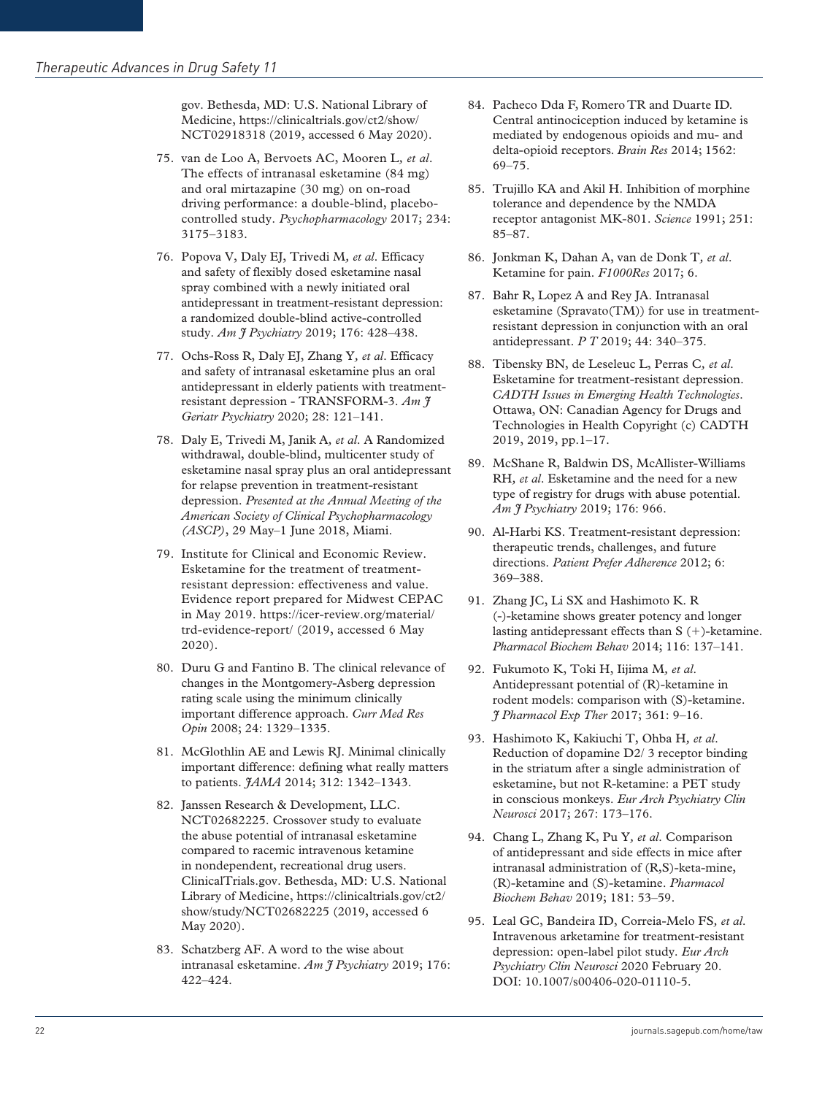gov. Bethesda, MD: U.S. National Library of Medicine, [https://clinicaltrials.gov/ct2/show/](https://clinicaltrials.gov/ct2/show/NCT02918318) [NCT02918318](https://clinicaltrials.gov/ct2/show/NCT02918318) (2019, accessed 6 May 2020).

- 75. van de Loo A, Bervoets AC, Mooren L*, et al*. The effects of intranasal esketamine (84 mg) and oral mirtazapine (30 mg) on on-road driving performance: a double-blind, placebocontrolled study. *Psychopharmacology* 2017; 234: 3175–3183.
- 76. Popova V, Daly EJ, Trivedi M*, et al*. Efficacy and safety of flexibly dosed esketamine nasal spray combined with a newly initiated oral antidepressant in treatment-resistant depression: a randomized double-blind active-controlled study. *Am J Psychiatry* 2019; 176: 428–438.
- 77. Ochs-Ross R, Daly EJ, Zhang Y*, et al*. Efficacy and safety of intranasal esketamine plus an oral antidepressant in elderly patients with treatmentresistant depression - TRANSFORM-3. *Am J Geriatr Psychiatry* 2020; 28: 121–141.
- 78. Daly E, Trivedi M, Janik A*, et al*. A Randomized withdrawal, double-blind, multicenter study of esketamine nasal spray plus an oral antidepressant for relapse prevention in treatment-resistant depression. *Presented at the Annual Meeting of the American Society of Clinical Psychopharmacology (ASCP)*, 29 May–1 June 2018, Miami.
- 79. Institute for Clinical and Economic Review. Esketamine for the treatment of treatmentresistant depression: effectiveness and value. Evidence report prepared for Midwest CEPAC in May 2019. [https://icer-review.org/material/](https://icer-review.org/material/trd-evidence-report/) [trd-evidence-report/](https://icer-review.org/material/trd-evidence-report/) (2019, accessed 6 May 2020).
- 80. Duru G and Fantino B. The clinical relevance of changes in the Montgomery-Asberg depression rating scale using the minimum clinically important difference approach. *Curr Med Res Opin* 2008; 24: 1329–1335.
- 81. McGlothlin AE and Lewis RJ. Minimal clinically important difference: defining what really matters to patients. *JAMA* 2014; 312: 1342–1343.
- 82. Janssen Research & Development, LLC. NCT02682225. Crossover study to evaluate the abuse potential of intranasal esketamine compared to racemic intravenous ketamine in nondependent, recreational drug users. ClinicalTrials.gov. Bethesda, MD: U.S. National Library of Medicine, [https://clinicaltrials.gov/ct2/](https://clinicaltrials.gov/ct2/show/study/NCT02682225) [show/study/NCT02682225](https://clinicaltrials.gov/ct2/show/study/NCT02682225) (2019, accessed 6 May 2020).
- 83. Schatzberg AF. A word to the wise about intranasal esketamine. *Am J Psychiatry* 2019; 176: 422–424.
- 84. Pacheco Dda F, Romero TR and Duarte ID. Central antinociception induced by ketamine is mediated by endogenous opioids and mu- and delta-opioid receptors. *Brain Res* 2014; 1562: 69–75.
- 85. Trujillo KA and Akil H. Inhibition of morphine tolerance and dependence by the NMDA receptor antagonist MK-801. *Science* 1991; 251: 85–87.
- 86. Jonkman K, Dahan A, van de Donk T*, et al*. Ketamine for pain. *F1000Res* 2017; 6.
- 87. Bahr R, Lopez A and Rey JA. Intranasal esketamine (Spravato(TM)) for use in treatmentresistant depression in conjunction with an oral antidepressant. *P T* 2019; 44: 340–375.
- 88. Tibensky BN, de Leseleuc L, Perras C*, et al*. Esketamine for treatment-resistant depression. *CADTH Issues in Emerging Health Technologies*. Ottawa, ON: Canadian Agency for Drugs and Technologies in Health Copyright (c) CADTH 2019, 2019, pp.1–17.
- 89. McShane R, Baldwin DS, McAllister-Williams RH*, et al*. Esketamine and the need for a new type of registry for drugs with abuse potential. *Am J Psychiatry* 2019; 176: 966.
- 90. Al-Harbi KS. Treatment-resistant depression: therapeutic trends, challenges, and future directions. *Patient Prefer Adherence* 2012; 6: 369–388.
- 91. Zhang JC, Li SX and Hashimoto K. R (-)-ketamine shows greater potency and longer lasting antidepressant effects than  $S$  (+)-ketamine. *Pharmacol Biochem Behav* 2014; 116: 137–141.
- 92. Fukumoto K, Toki H, Iijima M*, et al*. Antidepressant potential of (R)-ketamine in rodent models: comparison with (S)-ketamine. *J Pharmacol Exp Ther* 2017; 361: 9–16.
- 93. Hashimoto K, Kakiuchi T, Ohba H*, et al*. Reduction of dopamine D2/ 3 receptor binding in the striatum after a single administration of esketamine, but not R-ketamine: a PET study in conscious monkeys. *Eur Arch Psychiatry Clin Neurosci* 2017; 267: 173–176.
- 94. Chang L, Zhang K, Pu Y*, et al*. Comparison of antidepressant and side effects in mice after intranasal administration of (R,S)-keta-mine, (R)-ketamine and (S)-ketamine. *Pharmacol Biochem Behav* 2019; 181: 53–59.
- 95. Leal GC, Bandeira ID, Correia-Melo FS*, et al*. Intravenous arketamine for treatment-resistant depression: open-label pilot study. *Eur Arch Psychiatry Clin Neurosci* 2020 February 20. DOI: 10.1007/s00406-020-01110-5.